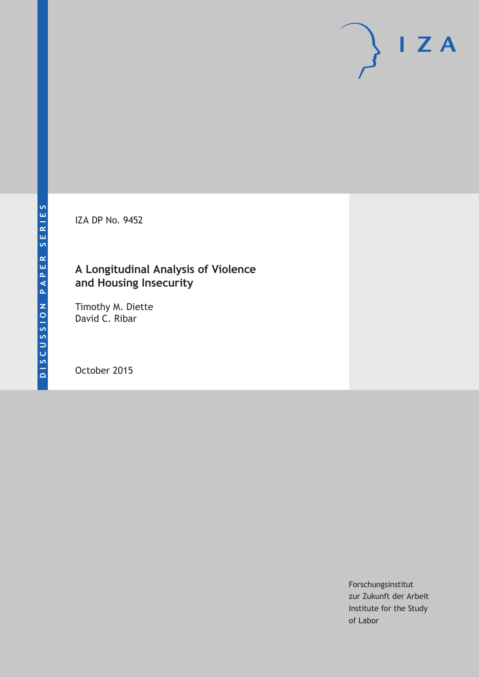IZA DP No. 9452

# **A Longitudinal Analysis of Violence and Housing Insecurity**

Timothy M. Diette David C. Ribar

October 2015

Forschungsinstitut zur Zukunft der Arbeit Institute for the Study of Labor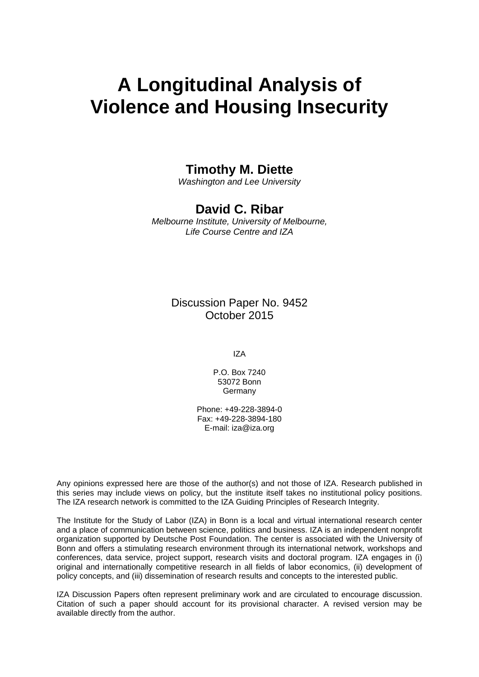# **A Longitudinal Analysis of Violence and Housing Insecurity**

### **Timothy M. Diette**

*Washington and Lee University* 

## **David C. Ribar**

*Melbourne Institute, University of Melbourne, Life Course Centre and IZA* 

> Discussion Paper No. 9452 October 2015

> > IZA

P.O. Box 7240 53072 Bonn **Germany** 

Phone: +49-228-3894-0 Fax: +49-228-3894-180 E-mail: iza@iza.org

Any opinions expressed here are those of the author(s) and not those of IZA. Research published in this series may include views on policy, but the institute itself takes no institutional policy positions. The IZA research network is committed to the IZA Guiding Principles of Research Integrity.

The Institute for the Study of Labor (IZA) in Bonn is a local and virtual international research center and a place of communication between science, politics and business. IZA is an independent nonprofit organization supported by Deutsche Post Foundation. The center is associated with the University of Bonn and offers a stimulating research environment through its international network, workshops and conferences, data service, project support, research visits and doctoral program. IZA engages in (i) original and internationally competitive research in all fields of labor economics, (ii) development of policy concepts, and (iii) dissemination of research results and concepts to the interested public.

IZA Discussion Papers often represent preliminary work and are circulated to encourage discussion. Citation of such a paper should account for its provisional character. A revised version may be available directly from the author.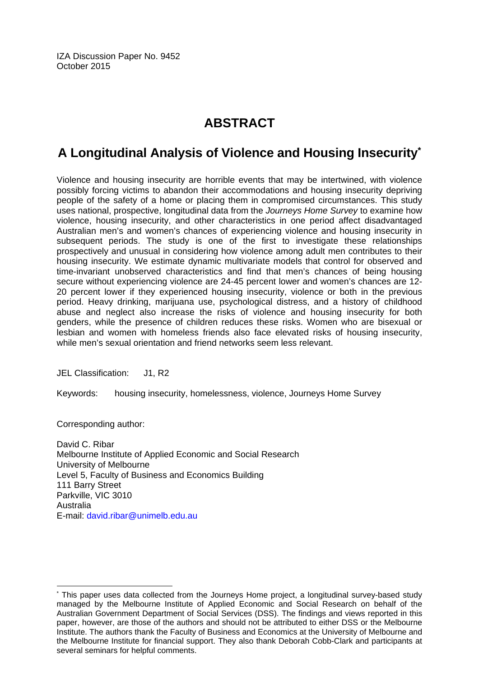IZA Discussion Paper No. 9452 October 2015

# **ABSTRACT**

# **A Longitudinal Analysis of Violence and Housing Insecurity\***

Violence and housing insecurity are horrible events that may be intertwined, with violence possibly forcing victims to abandon their accommodations and housing insecurity depriving people of the safety of a home or placing them in compromised circumstances. This study uses national, prospective, longitudinal data from the *Journeys Home Survey* to examine how violence, housing insecurity, and other characteristics in one period affect disadvantaged Australian men's and women's chances of experiencing violence and housing insecurity in subsequent periods. The study is one of the first to investigate these relationships prospectively and unusual in considering how violence among adult men contributes to their housing insecurity. We estimate dynamic multivariate models that control for observed and time-invariant unobserved characteristics and find that men's chances of being housing secure without experiencing violence are 24-45 percent lower and women's chances are 12- 20 percent lower if they experienced housing insecurity, violence or both in the previous period. Heavy drinking, marijuana use, psychological distress, and a history of childhood abuse and neglect also increase the risks of violence and housing insecurity for both genders, while the presence of children reduces these risks. Women who are bisexual or lesbian and women with homeless friends also face elevated risks of housing insecurity, while men's sexual orientation and friend networks seem less relevant.

JEL Classification: J1, R2

Keywords: housing insecurity, homelessness, violence, Journeys Home Survey

Corresponding author:

 $\overline{a}$ 

David C. Ribar Melbourne Institute of Applied Economic and Social Research University of Melbourne Level 5, Faculty of Business and Economics Building 111 Barry Street Parkville, VIC 3010 Australia E-mail: david.ribar@unimelb.edu.au

<sup>\*</sup> This paper uses data collected from the Journeys Home project, a longitudinal survey-based study managed by the Melbourne Institute of Applied Economic and Social Research on behalf of the Australian Government Department of Social Services (DSS). The findings and views reported in this paper, however, are those of the authors and should not be attributed to either DSS or the Melbourne Institute. The authors thank the Faculty of Business and Economics at the University of Melbourne and the Melbourne Institute for financial support. They also thank Deborah Cobb-Clark and participants at several seminars for helpful comments.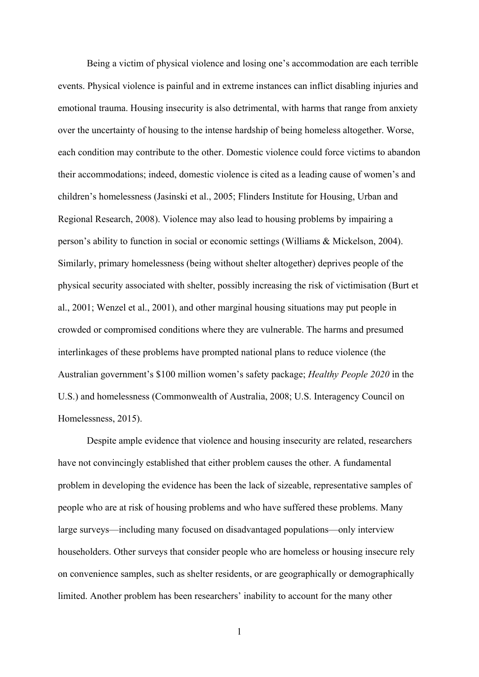Being a victim of physical violence and losing one's accommodation are each terrible events. Physical violence is painful and in extreme instances can inflict disabling injuries and emotional trauma. Housing insecurity is also detrimental, with harms that range from anxiety over the uncertainty of housing to the intense hardship of being homeless altogether. Worse, each condition may contribute to the other. Domestic violence could force victims to abandon their accommodations; indeed, domestic violence is cited as a leading cause of women's and children's homelessness (Jasinski et al., 2005; Flinders Institute for Housing, Urban and Regional Research, 2008). Violence may also lead to housing problems by impairing a person's ability to function in social or economic settings (Williams & Mickelson, 2004). Similarly, primary homelessness (being without shelter altogether) deprives people of the physical security associated with shelter, possibly increasing the risk of victimisation (Burt et al., 2001; Wenzel et al., 2001), and other marginal housing situations may put people in crowded or compromised conditions where they are vulnerable. The harms and presumed interlinkages of these problems have prompted national plans to reduce violence (the Australian government's \$100 million women's safety package; *Healthy People 2020* in the U.S.) and homelessness (Commonwealth of Australia, 2008; U.S. Interagency Council on Homelessness, 2015).

Despite ample evidence that violence and housing insecurity are related, researchers have not convincingly established that either problem causes the other. A fundamental problem in developing the evidence has been the lack of sizeable, representative samples of people who are at risk of housing problems and who have suffered these problems. Many large surveys—including many focused on disadvantaged populations—only interview householders. Other surveys that consider people who are homeless or housing insecure rely on convenience samples, such as shelter residents, or are geographically or demographically limited. Another problem has been researchers' inability to account for the many other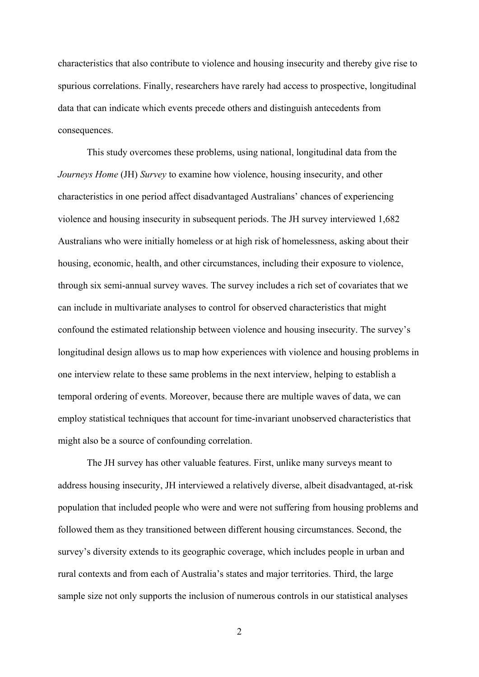characteristics that also contribute to violence and housing insecurity and thereby give rise to spurious correlations. Finally, researchers have rarely had access to prospective, longitudinal data that can indicate which events precede others and distinguish antecedents from consequences.

This study overcomes these problems, using national, longitudinal data from the *Journeys Home* (JH) *Survey* to examine how violence, housing insecurity, and other characteristics in one period affect disadvantaged Australians' chances of experiencing violence and housing insecurity in subsequent periods. The JH survey interviewed 1,682 Australians who were initially homeless or at high risk of homelessness, asking about their housing, economic, health, and other circumstances, including their exposure to violence, through six semi-annual survey waves. The survey includes a rich set of covariates that we can include in multivariate analyses to control for observed characteristics that might confound the estimated relationship between violence and housing insecurity. The survey's longitudinal design allows us to map how experiences with violence and housing problems in one interview relate to these same problems in the next interview, helping to establish a temporal ordering of events. Moreover, because there are multiple waves of data, we can employ statistical techniques that account for time-invariant unobserved characteristics that might also be a source of confounding correlation.

The JH survey has other valuable features. First, unlike many surveys meant to address housing insecurity, JH interviewed a relatively diverse, albeit disadvantaged, at-risk population that included people who were and were not suffering from housing problems and followed them as they transitioned between different housing circumstances. Second, the survey's diversity extends to its geographic coverage, which includes people in urban and rural contexts and from each of Australia's states and major territories. Third, the large sample size not only supports the inclusion of numerous controls in our statistical analyses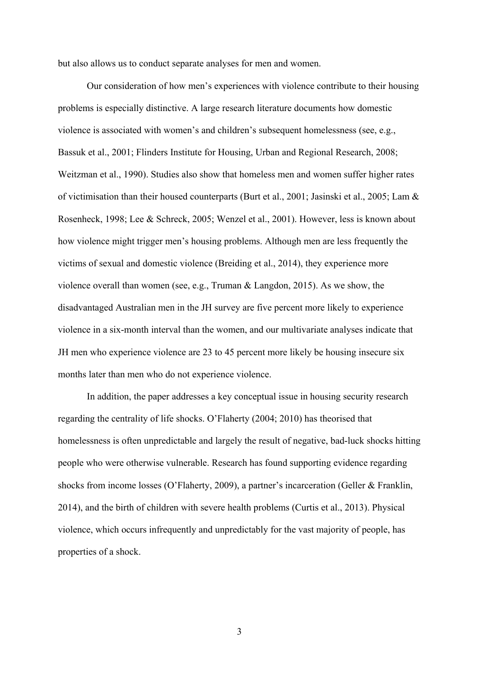but also allows us to conduct separate analyses for men and women.

Our consideration of how men's experiences with violence contribute to their housing problems is especially distinctive. A large research literature documents how domestic violence is associated with women's and children's subsequent homelessness (see, e.g., Bassuk et al., 2001; Flinders Institute for Housing, Urban and Regional Research, 2008; Weitzman et al., 1990). Studies also show that homeless men and women suffer higher rates of victimisation than their housed counterparts (Burt et al., 2001; Jasinski et al., 2005; Lam & Rosenheck, 1998; Lee & Schreck, 2005; Wenzel et al., 2001). However, less is known about how violence might trigger men's housing problems. Although men are less frequently the victims of sexual and domestic violence (Breiding et al., 2014), they experience more violence overall than women (see, e.g., Truman & Langdon, 2015). As we show, the disadvantaged Australian men in the JH survey are five percent more likely to experience violence in a six-month interval than the women, and our multivariate analyses indicate that JH men who experience violence are 23 to 45 percent more likely be housing insecure six months later than men who do not experience violence.

In addition, the paper addresses a key conceptual issue in housing security research regarding the centrality of life shocks. O'Flaherty (2004; 2010) has theorised that homelessness is often unpredictable and largely the result of negative, bad-luck shocks hitting people who were otherwise vulnerable. Research has found supporting evidence regarding shocks from income losses (O'Flaherty, 2009), a partner's incarceration (Geller & Franklin, 2014), and the birth of children with severe health problems (Curtis et al., 2013). Physical violence, which occurs infrequently and unpredictably for the vast majority of people, has properties of a shock.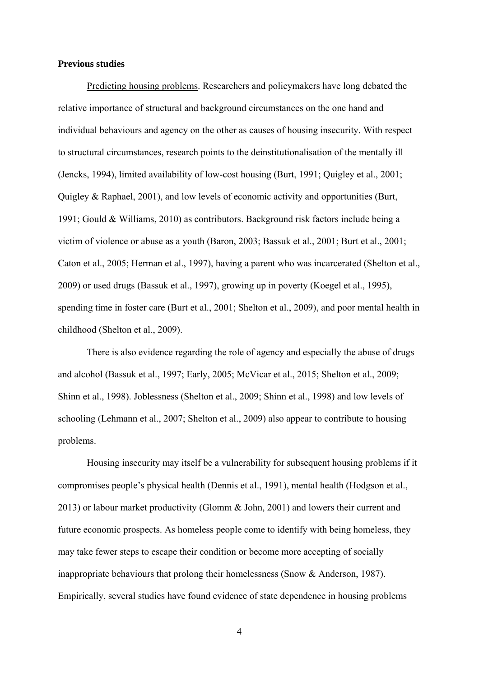#### **Previous studies**

Predicting housing problems. Researchers and policymakers have long debated the relative importance of structural and background circumstances on the one hand and individual behaviours and agency on the other as causes of housing insecurity. With respect to structural circumstances, research points to the deinstitutionalisation of the mentally ill (Jencks, 1994), limited availability of low-cost housing (Burt, 1991; Quigley et al., 2001; Quigley & Raphael, 2001), and low levels of economic activity and opportunities (Burt, 1991; Gould & Williams, 2010) as contributors. Background risk factors include being a victim of violence or abuse as a youth (Baron, 2003; Bassuk et al., 2001; Burt et al., 2001; Caton et al., 2005; Herman et al., 1997), having a parent who was incarcerated (Shelton et al., 2009) or used drugs (Bassuk et al., 1997), growing up in poverty (Koegel et al., 1995), spending time in foster care (Burt et al., 2001; Shelton et al., 2009), and poor mental health in childhood (Shelton et al., 2009).

There is also evidence regarding the role of agency and especially the abuse of drugs and alcohol (Bassuk et al., 1997; Early, 2005; McVicar et al., 2015; Shelton et al., 2009; Shinn et al., 1998). Joblessness (Shelton et al., 2009; Shinn et al., 1998) and low levels of schooling (Lehmann et al., 2007; Shelton et al., 2009) also appear to contribute to housing problems.

Housing insecurity may itself be a vulnerability for subsequent housing problems if it compromises people's physical health (Dennis et al., 1991), mental health (Hodgson et al., 2013) or labour market productivity (Glomm & John, 2001) and lowers their current and future economic prospects. As homeless people come to identify with being homeless, they may take fewer steps to escape their condition or become more accepting of socially inappropriate behaviours that prolong their homelessness (Snow & Anderson, 1987). Empirically, several studies have found evidence of state dependence in housing problems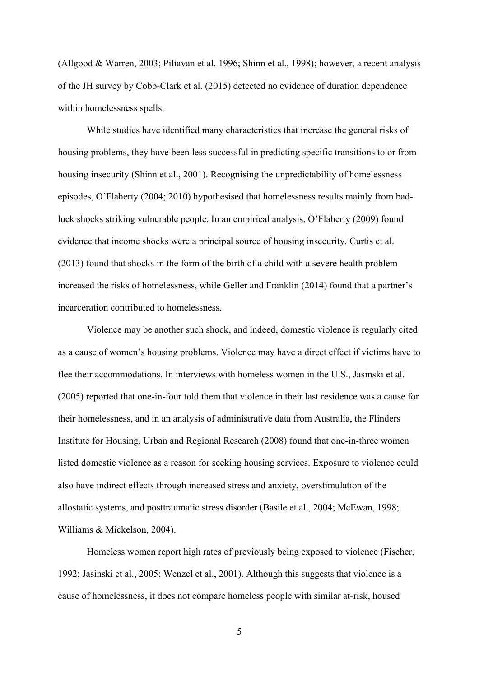(Allgood & Warren, 2003; Piliavan et al. 1996; Shinn et al., 1998); however, a recent analysis of the JH survey by Cobb-Clark et al. (2015) detected no evidence of duration dependence within homelessness spells.

While studies have identified many characteristics that increase the general risks of housing problems, they have been less successful in predicting specific transitions to or from housing insecurity (Shinn et al., 2001). Recognising the unpredictability of homelessness episodes, O'Flaherty (2004; 2010) hypothesised that homelessness results mainly from badluck shocks striking vulnerable people. In an empirical analysis, O'Flaherty (2009) found evidence that income shocks were a principal source of housing insecurity. Curtis et al. (2013) found that shocks in the form of the birth of a child with a severe health problem increased the risks of homelessness, while Geller and Franklin (2014) found that a partner's incarceration contributed to homelessness.

Violence may be another such shock, and indeed, domestic violence is regularly cited as a cause of women's housing problems. Violence may have a direct effect if victims have to flee their accommodations. In interviews with homeless women in the U.S., Jasinski et al. (2005) reported that one-in-four told them that violence in their last residence was a cause for their homelessness, and in an analysis of administrative data from Australia, the Flinders Institute for Housing, Urban and Regional Research (2008) found that one-in-three women listed domestic violence as a reason for seeking housing services. Exposure to violence could also have indirect effects through increased stress and anxiety, overstimulation of the allostatic systems, and posttraumatic stress disorder (Basile et al., 2004; McEwan, 1998; Williams & Mickelson, 2004).

Homeless women report high rates of previously being exposed to violence (Fischer, 1992; Jasinski et al., 2005; Wenzel et al., 2001). Although this suggests that violence is a cause of homelessness, it does not compare homeless people with similar at-risk, housed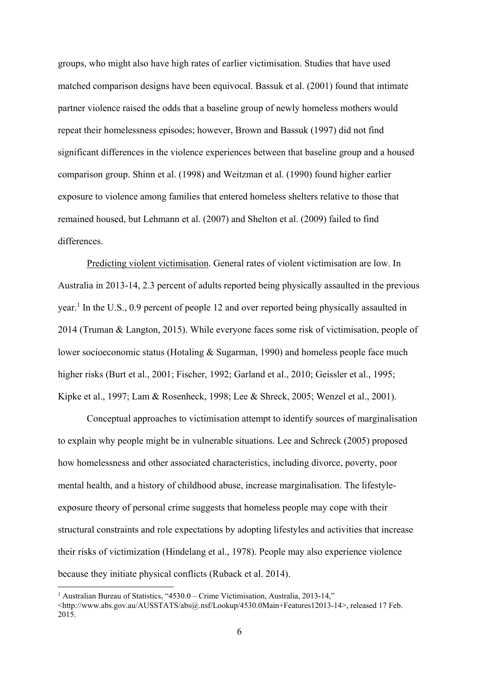groups, who might also have high rates of earlier victimisation. Studies that have used matched comparison designs have been equivocal. Bassuk et al. (2001) found that intimate partner violence raised the odds that a baseline group of newly homeless mothers would repeat their homelessness episodes; however, Brown and Bassuk (1997) did not find significant differences in the violence experiences between that baseline group and a housed comparison group. Shinn et al. (1998) and Weitzman et al. (1990) found higher earlier exposure to violence among families that entered homeless shelters relative to those that remained housed, but Lehmann et al. (2007) and Shelton et al. (2009) failed to find differences.

Predicting violent victimisation. General rates of violent victimisation are low. In Australia in 2013-14, 2.3 percent of adults reported being physically assaulted in the previous year.<sup>1</sup> In the U.S., 0.9 percent of people 12 and over reported being physically assaulted in 2014 (Truman & Langton, 2015). While everyone faces some risk of victimisation, people of lower socioeconomic status (Hotaling & Sugarman, 1990) and homeless people face much higher risks (Burt et al., 2001; Fischer, 1992; Garland et al., 2010; Geissler et al., 1995; Kipke et al., 1997; Lam & Rosenheck, 1998; Lee & Shreck, 2005; Wenzel et al., 2001).

Conceptual approaches to victimisation attempt to identify sources of marginalisation to explain why people might be in vulnerable situations. Lee and Schreck (2005) proposed how homelessness and other associated characteristics, including divorce, poverty, poor mental health, and a history of childhood abuse, increase marginalisation. The lifestyleexposure theory of personal crime suggests that homeless people may cope with their structural constraints and role expectations by adopting lifestyles and activities that increase their risks of victimization (Hindelang et al., 1978). People may also experience violence because they initiate physical conflicts (Ruback et al. 2014).

<sup>&</sup>lt;sup>1</sup> Australian Bureau of Statistics, "4530.0 – Crime Victimisation, Australia, 2013-14,"

<sup>&</sup>lt;http://www.abs.gov.au/AUSSTATS/abs@.nsf/Lookup/4530.0Main+Features12013-14>, released 17 Feb. 2015.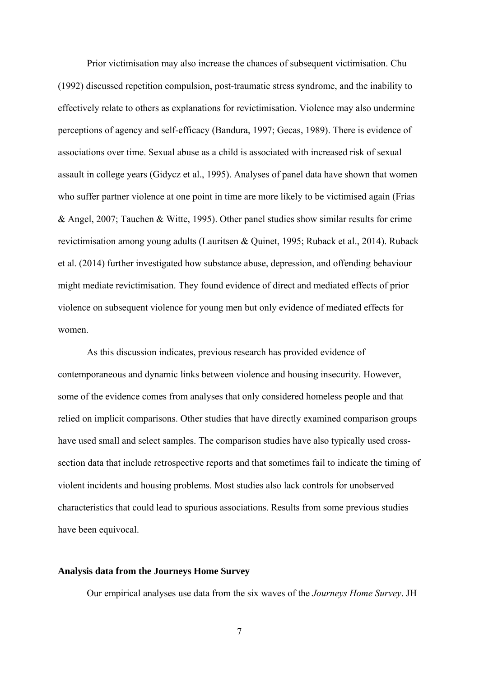Prior victimisation may also increase the chances of subsequent victimisation. Chu (1992) discussed repetition compulsion, post-traumatic stress syndrome, and the inability to effectively relate to others as explanations for revictimisation. Violence may also undermine perceptions of agency and self-efficacy (Bandura, 1997; Gecas, 1989). There is evidence of associations over time. Sexual abuse as a child is associated with increased risk of sexual assault in college years (Gidycz et al., 1995). Analyses of panel data have shown that women who suffer partner violence at one point in time are more likely to be victimised again (Frias & Angel, 2007; Tauchen & Witte, 1995). Other panel studies show similar results for crime revictimisation among young adults (Lauritsen & Quinet, 1995; Ruback et al., 2014). Ruback et al. (2014) further investigated how substance abuse, depression, and offending behaviour might mediate revictimisation. They found evidence of direct and mediated effects of prior violence on subsequent violence for young men but only evidence of mediated effects for women.

As this discussion indicates, previous research has provided evidence of contemporaneous and dynamic links between violence and housing insecurity. However, some of the evidence comes from analyses that only considered homeless people and that relied on implicit comparisons. Other studies that have directly examined comparison groups have used small and select samples. The comparison studies have also typically used crosssection data that include retrospective reports and that sometimes fail to indicate the timing of violent incidents and housing problems. Most studies also lack controls for unobserved characteristics that could lead to spurious associations. Results from some previous studies have been equivocal.

#### **Analysis data from the Journeys Home Survey**

Our empirical analyses use data from the six waves of the *Journeys Home Survey*. JH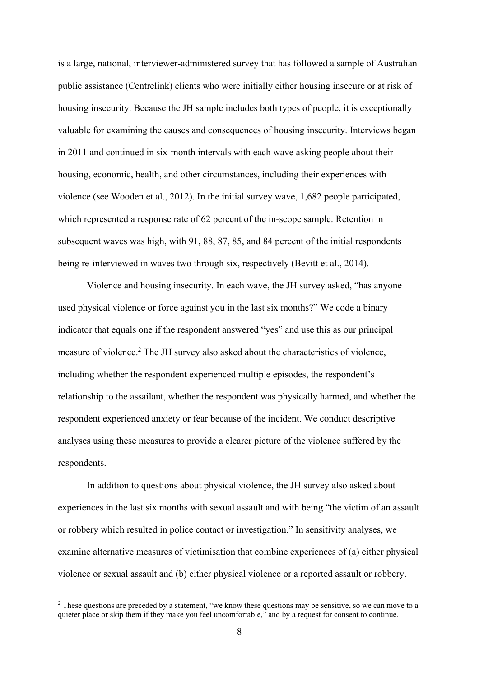is a large, national, interviewer-administered survey that has followed a sample of Australian public assistance (Centrelink) clients who were initially either housing insecure or at risk of housing insecurity. Because the JH sample includes both types of people, it is exceptionally valuable for examining the causes and consequences of housing insecurity. Interviews began in 2011 and continued in six-month intervals with each wave asking people about their housing, economic, health, and other circumstances, including their experiences with violence (see Wooden et al., 2012). In the initial survey wave, 1,682 people participated, which represented a response rate of 62 percent of the in-scope sample. Retention in subsequent waves was high, with 91, 88, 87, 85, and 84 percent of the initial respondents being re-interviewed in waves two through six, respectively (Bevitt et al., 2014).

Violence and housing insecurity. In each wave, the JH survey asked, "has anyone used physical violence or force against you in the last six months?" We code a binary indicator that equals one if the respondent answered "yes" and use this as our principal measure of violence.<sup>2</sup> The JH survey also asked about the characteristics of violence, including whether the respondent experienced multiple episodes, the respondent's relationship to the assailant, whether the respondent was physically harmed, and whether the respondent experienced anxiety or fear because of the incident. We conduct descriptive analyses using these measures to provide a clearer picture of the violence suffered by the respondents.

In addition to questions about physical violence, the JH survey also asked about experiences in the last six months with sexual assault and with being "the victim of an assault or robbery which resulted in police contact or investigation." In sensitivity analyses, we examine alternative measures of victimisation that combine experiences of (a) either physical violence or sexual assault and (b) either physical violence or a reported assault or robbery.

<sup>&</sup>lt;sup>2</sup> These questions are preceded by a statement, "we know these questions may be sensitive, so we can move to a quieter place or skip them if they make you feel uncomfortable," and by a request for consent to continue.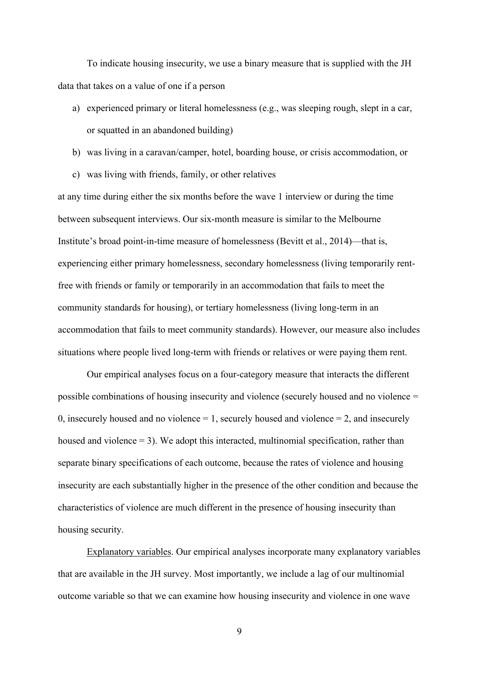To indicate housing insecurity, we use a binary measure that is supplied with the JH data that takes on a value of one if a person

- a) experienced primary or literal homelessness (e.g., was sleeping rough, slept in a car, or squatted in an abandoned building)
- b) was living in a caravan/camper, hotel, boarding house, or crisis accommodation, or
- c) was living with friends, family, or other relatives

at any time during either the six months before the wave 1 interview or during the time between subsequent interviews. Our six-month measure is similar to the Melbourne Institute's broad point-in-time measure of homelessness (Bevitt et al., 2014)—that is, experiencing either primary homelessness, secondary homelessness (living temporarily rentfree with friends or family or temporarily in an accommodation that fails to meet the community standards for housing), or tertiary homelessness (living long-term in an accommodation that fails to meet community standards). However, our measure also includes situations where people lived long-term with friends or relatives or were paying them rent.

Our empirical analyses focus on a four-category measure that interacts the different possible combinations of housing insecurity and violence (securely housed and no violence = 0, insecurely housed and no violence  $= 1$ , securely housed and violence  $= 2$ , and insecurely housed and violence  $= 3$ ). We adopt this interacted, multinomial specification, rather than separate binary specifications of each outcome, because the rates of violence and housing insecurity are each substantially higher in the presence of the other condition and because the characteristics of violence are much different in the presence of housing insecurity than housing security.

Explanatory variables. Our empirical analyses incorporate many explanatory variables that are available in the JH survey. Most importantly, we include a lag of our multinomial outcome variable so that we can examine how housing insecurity and violence in one wave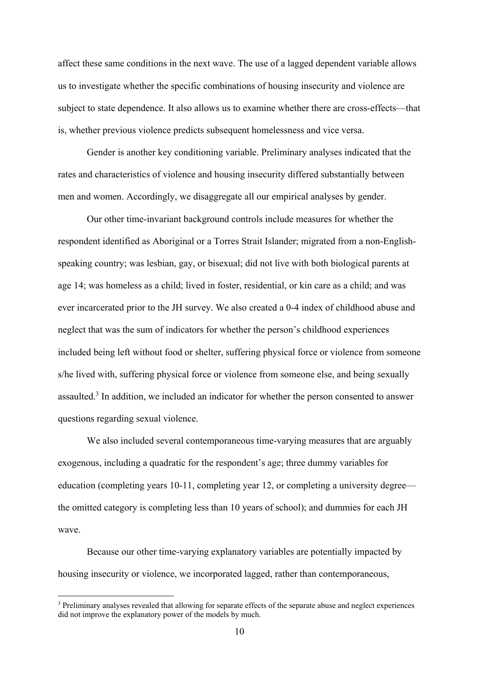affect these same conditions in the next wave. The use of a lagged dependent variable allows us to investigate whether the specific combinations of housing insecurity and violence are subject to state dependence. It also allows us to examine whether there are cross-effects—that is, whether previous violence predicts subsequent homelessness and vice versa.

Gender is another key conditioning variable. Preliminary analyses indicated that the rates and characteristics of violence and housing insecurity differed substantially between men and women. Accordingly, we disaggregate all our empirical analyses by gender.

Our other time-invariant background controls include measures for whether the respondent identified as Aboriginal or a Torres Strait Islander; migrated from a non-Englishspeaking country; was lesbian, gay, or bisexual; did not live with both biological parents at age 14; was homeless as a child; lived in foster, residential, or kin care as a child; and was ever incarcerated prior to the JH survey. We also created a 0-4 index of childhood abuse and neglect that was the sum of indicators for whether the person's childhood experiences included being left without food or shelter, suffering physical force or violence from someone s/he lived with, suffering physical force or violence from someone else, and being sexually assaulted.<sup>3</sup> In addition, we included an indicator for whether the person consented to answer questions regarding sexual violence.

We also included several contemporaneous time-varying measures that are arguably exogenous, including a quadratic for the respondent's age; three dummy variables for education (completing years 10-11, completing year 12, or completing a university degree the omitted category is completing less than 10 years of school); and dummies for each JH wave.

Because our other time-varying explanatory variables are potentially impacted by housing insecurity or violence, we incorporated lagged, rather than contemporaneous,

<sup>&</sup>lt;sup>3</sup> Preliminary analyses revealed that allowing for separate effects of the separate abuse and neglect experiences did not improve the explanatory power of the models by much.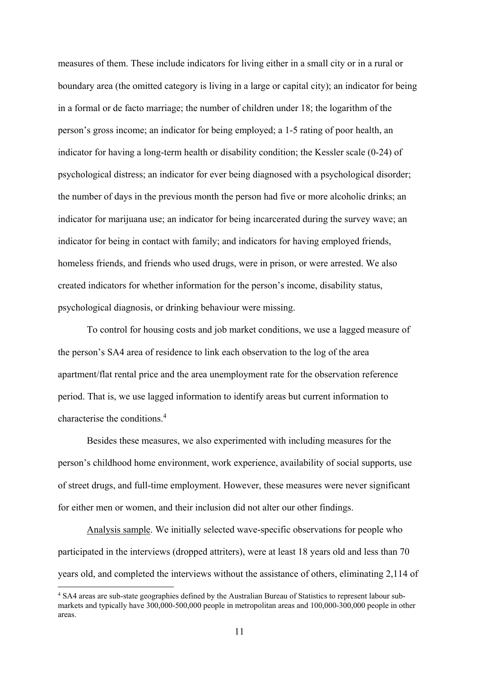measures of them. These include indicators for living either in a small city or in a rural or boundary area (the omitted category is living in a large or capital city); an indicator for being in a formal or de facto marriage; the number of children under 18; the logarithm of the person's gross income; an indicator for being employed; a 1-5 rating of poor health, an indicator for having a long-term health or disability condition; the Kessler scale (0-24) of psychological distress; an indicator for ever being diagnosed with a psychological disorder; the number of days in the previous month the person had five or more alcoholic drinks; an indicator for marijuana use; an indicator for being incarcerated during the survey wave; an indicator for being in contact with family; and indicators for having employed friends, homeless friends, and friends who used drugs, were in prison, or were arrested. We also created indicators for whether information for the person's income, disability status, psychological diagnosis, or drinking behaviour were missing.

To control for housing costs and job market conditions, we use a lagged measure of the person's SA4 area of residence to link each observation to the log of the area apartment/flat rental price and the area unemployment rate for the observation reference period. That is, we use lagged information to identify areas but current information to characterise the conditions.<sup>4</sup>

Besides these measures, we also experimented with including measures for the person's childhood home environment, work experience, availability of social supports, use of street drugs, and full-time employment. However, these measures were never significant for either men or women, and their inclusion did not alter our other findings.

Analysis sample. We initially selected wave-specific observations for people who participated in the interviews (dropped attriters), were at least 18 years old and less than 70 years old, and completed the interviews without the assistance of others, eliminating 2,114 of

<sup>4</sup> SA4 areas are sub-state geographies defined by the Australian Bureau of Statistics to represent labour submarkets and typically have 300,000-500,000 people in metropolitan areas and 100,000-300,000 people in other areas.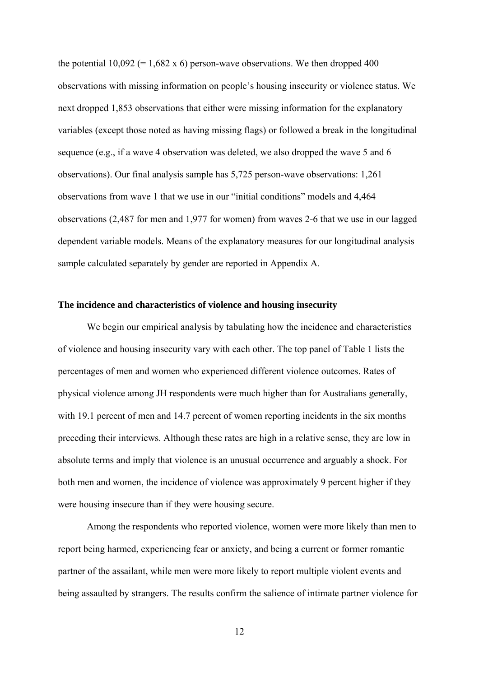the potential  $10,092$  (= 1,682 x 6) person-wave observations. We then dropped 400 observations with missing information on people's housing insecurity or violence status. We next dropped 1,853 observations that either were missing information for the explanatory variables (except those noted as having missing flags) or followed a break in the longitudinal sequence (e.g., if a wave 4 observation was deleted, we also dropped the wave 5 and 6 observations). Our final analysis sample has 5,725 person-wave observations: 1,261 observations from wave 1 that we use in our "initial conditions" models and 4,464 observations (2,487 for men and 1,977 for women) from waves 2-6 that we use in our lagged dependent variable models. Means of the explanatory measures for our longitudinal analysis sample calculated separately by gender are reported in Appendix A.

#### **The incidence and characteristics of violence and housing insecurity**

We begin our empirical analysis by tabulating how the incidence and characteristics of violence and housing insecurity vary with each other. The top panel of Table 1 lists the percentages of men and women who experienced different violence outcomes. Rates of physical violence among JH respondents were much higher than for Australians generally, with 19.1 percent of men and 14.7 percent of women reporting incidents in the six months preceding their interviews. Although these rates are high in a relative sense, they are low in absolute terms and imply that violence is an unusual occurrence and arguably a shock. For both men and women, the incidence of violence was approximately 9 percent higher if they were housing insecure than if they were housing secure.

Among the respondents who reported violence, women were more likely than men to report being harmed, experiencing fear or anxiety, and being a current or former romantic partner of the assailant, while men were more likely to report multiple violent events and being assaulted by strangers. The results confirm the salience of intimate partner violence for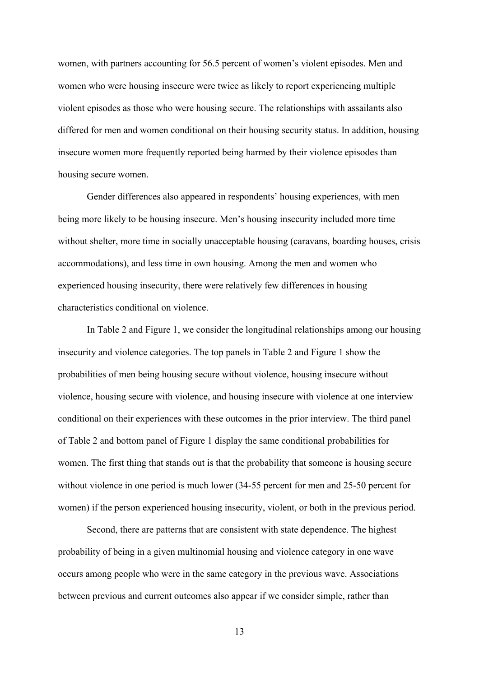women, with partners accounting for 56.5 percent of women's violent episodes. Men and women who were housing insecure were twice as likely to report experiencing multiple violent episodes as those who were housing secure. The relationships with assailants also differed for men and women conditional on their housing security status. In addition, housing insecure women more frequently reported being harmed by their violence episodes than housing secure women.

Gender differences also appeared in respondents' housing experiences, with men being more likely to be housing insecure. Men's housing insecurity included more time without shelter, more time in socially unacceptable housing (caravans, boarding houses, crisis accommodations), and less time in own housing. Among the men and women who experienced housing insecurity, there were relatively few differences in housing characteristics conditional on violence.

In Table 2 and Figure 1, we consider the longitudinal relationships among our housing insecurity and violence categories. The top panels in Table 2 and Figure 1 show the probabilities of men being housing secure without violence, housing insecure without violence, housing secure with violence, and housing insecure with violence at one interview conditional on their experiences with these outcomes in the prior interview. The third panel of Table 2 and bottom panel of Figure 1 display the same conditional probabilities for women. The first thing that stands out is that the probability that someone is housing secure without violence in one period is much lower (34-55 percent for men and 25-50 percent for women) if the person experienced housing insecurity, violent, or both in the previous period.

Second, there are patterns that are consistent with state dependence. The highest probability of being in a given multinomial housing and violence category in one wave occurs among people who were in the same category in the previous wave. Associations between previous and current outcomes also appear if we consider simple, rather than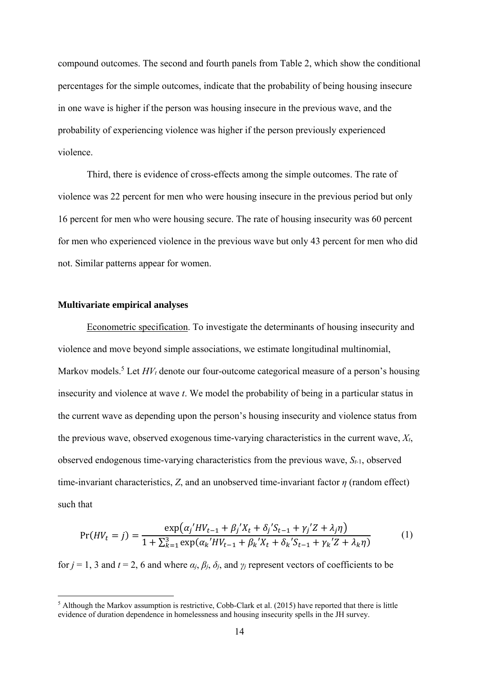compound outcomes. The second and fourth panels from Table 2, which show the conditional percentages for the simple outcomes, indicate that the probability of being housing insecure in one wave is higher if the person was housing insecure in the previous wave, and the probability of experiencing violence was higher if the person previously experienced violence.

Third, there is evidence of cross-effects among the simple outcomes. The rate of violence was 22 percent for men who were housing insecure in the previous period but only 16 percent for men who were housing secure. The rate of housing insecurity was 60 percent for men who experienced violence in the previous wave but only 43 percent for men who did not. Similar patterns appear for women.

#### **Multivariate empirical analyses**

1

Econometric specification. To investigate the determinants of housing insecurity and violence and move beyond simple associations, we estimate longitudinal multinomial, Markov models.<sup>5</sup> Let  $HV_t$  denote our four-outcome categorical measure of a person's housing insecurity and violence at wave *t*. We model the probability of being in a particular status in the current wave as depending upon the person's housing insecurity and violence status from the previous wave, observed exogenous time-varying characteristics in the current wave, *Xt*, observed endogenous time-varying characteristics from the previous wave, *St-*1, observed time-invariant characteristics, *Z*, and an unobserved time-invariant factor *η* (random effect) such that

$$
Pr(HV_t = j) = \frac{\exp(\alpha_j'HV_{t-1} + \beta_j'X_t + \delta_j'S_{t-1} + \gamma_j'Z + \lambda_j\eta)}{1 + \sum_{k=1}^3 \exp(\alpha_k'HV_{t-1} + \beta_k'X_t + \delta_k'S_{t-1} + \gamma_k'Z + \lambda_k\eta)}
$$
(1)

for  $j = 1, 3$  and  $t = 2, 6$  and where  $\alpha_j$ ,  $\beta_j$ ,  $\delta_j$ , and  $\gamma_j$  represent vectors of coefficients to be

<sup>&</sup>lt;sup>5</sup> Although the Markov assumption is restrictive, Cobb-Clark et al. (2015) have reported that there is little evidence of duration dependence in homelessness and housing insecurity spells in the JH survey.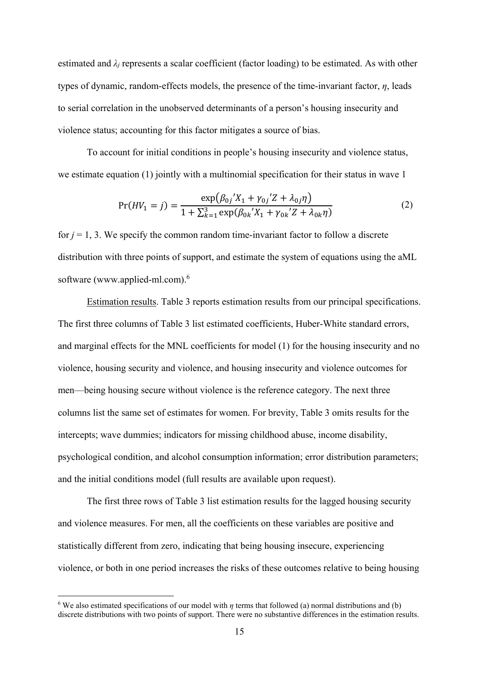estimated and  $\lambda_i$  represents a scalar coefficient (factor loading) to be estimated. As with other types of dynamic, random-effects models, the presence of the time-invariant factor, *η*, leads to serial correlation in the unobserved determinants of a person's housing insecurity and violence status; accounting for this factor mitigates a source of bias.

To account for initial conditions in people's housing insecurity and violence status, we estimate equation (1) jointly with a multinomial specification for their status in wave 1

$$
Pr(HV_1 = j) = \frac{\exp(\beta_{0j}^{\prime} X_1 + \gamma_{0j}^{\prime} Z + \lambda_{0j} \eta)}{1 + \sum_{k=1}^{3} \exp(\beta_{0k}^{\prime} X_1 + \gamma_{0k}^{\prime} Z + \lambda_{0k} \eta)}
$$
(2)

for  $j = 1, 3$ . We specify the common random time-invariant factor to follow a discrete distribution with three points of support, and estimate the system of equations using the aML software (www.applied-ml.com).<sup>6</sup>

Estimation results. Table 3 reports estimation results from our principal specifications. The first three columns of Table 3 list estimated coefficients, Huber-White standard errors, and marginal effects for the MNL coefficients for model (1) for the housing insecurity and no violence, housing security and violence, and housing insecurity and violence outcomes for men—being housing secure without violence is the reference category. The next three columns list the same set of estimates for women. For brevity, Table 3 omits results for the intercepts; wave dummies; indicators for missing childhood abuse, income disability, psychological condition, and alcohol consumption information; error distribution parameters; and the initial conditions model (full results are available upon request).

The first three rows of Table 3 list estimation results for the lagged housing security and violence measures. For men, all the coefficients on these variables are positive and statistically different from zero, indicating that being housing insecure, experiencing violence, or both in one period increases the risks of these outcomes relative to being housing

<sup>6</sup> We also estimated specifications of our model with *η* terms that followed (a) normal distributions and (b) discrete distributions with two points of support. There were no substantive differences in the estimation results.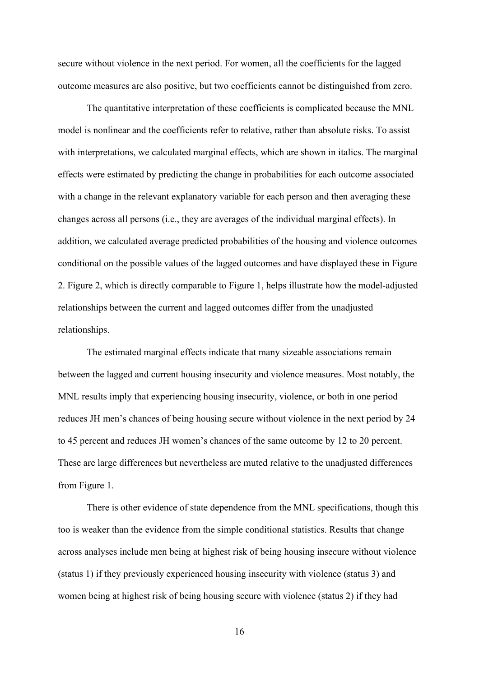secure without violence in the next period. For women, all the coefficients for the lagged outcome measures are also positive, but two coefficients cannot be distinguished from zero.

The quantitative interpretation of these coefficients is complicated because the MNL model is nonlinear and the coefficients refer to relative, rather than absolute risks. To assist with interpretations, we calculated marginal effects, which are shown in italics. The marginal effects were estimated by predicting the change in probabilities for each outcome associated with a change in the relevant explanatory variable for each person and then averaging these changes across all persons (i.e., they are averages of the individual marginal effects). In addition, we calculated average predicted probabilities of the housing and violence outcomes conditional on the possible values of the lagged outcomes and have displayed these in Figure 2. Figure 2, which is directly comparable to Figure 1, helps illustrate how the model-adjusted relationships between the current and lagged outcomes differ from the unadjusted relationships.

The estimated marginal effects indicate that many sizeable associations remain between the lagged and current housing insecurity and violence measures. Most notably, the MNL results imply that experiencing housing insecurity, violence, or both in one period reduces JH men's chances of being housing secure without violence in the next period by 24 to 45 percent and reduces JH women's chances of the same outcome by 12 to 20 percent. These are large differences but nevertheless are muted relative to the unadjusted differences from Figure 1.

There is other evidence of state dependence from the MNL specifications, though this too is weaker than the evidence from the simple conditional statistics. Results that change across analyses include men being at highest risk of being housing insecure without violence (status 1) if they previously experienced housing insecurity with violence (status 3) and women being at highest risk of being housing secure with violence (status 2) if they had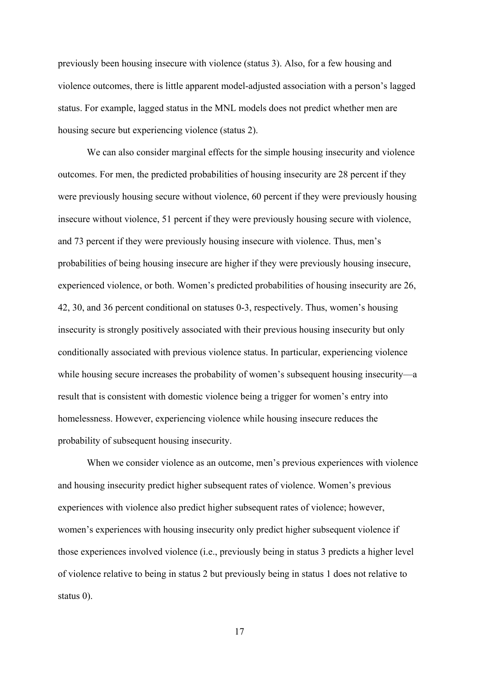previously been housing insecure with violence (status 3). Also, for a few housing and violence outcomes, there is little apparent model-adjusted association with a person's lagged status. For example, lagged status in the MNL models does not predict whether men are housing secure but experiencing violence (status 2).

We can also consider marginal effects for the simple housing insecurity and violence outcomes. For men, the predicted probabilities of housing insecurity are 28 percent if they were previously housing secure without violence, 60 percent if they were previously housing insecure without violence, 51 percent if they were previously housing secure with violence, and 73 percent if they were previously housing insecure with violence. Thus, men's probabilities of being housing insecure are higher if they were previously housing insecure, experienced violence, or both. Women's predicted probabilities of housing insecurity are 26, 42, 30, and 36 percent conditional on statuses 0-3, respectively. Thus, women's housing insecurity is strongly positively associated with their previous housing insecurity but only conditionally associated with previous violence status. In particular, experiencing violence while housing secure increases the probability of women's subsequent housing insecurity—a result that is consistent with domestic violence being a trigger for women's entry into homelessness. However, experiencing violence while housing insecure reduces the probability of subsequent housing insecurity.

When we consider violence as an outcome, men's previous experiences with violence and housing insecurity predict higher subsequent rates of violence. Women's previous experiences with violence also predict higher subsequent rates of violence; however, women's experiences with housing insecurity only predict higher subsequent violence if those experiences involved violence (i.e., previously being in status 3 predicts a higher level of violence relative to being in status 2 but previously being in status 1 does not relative to status 0).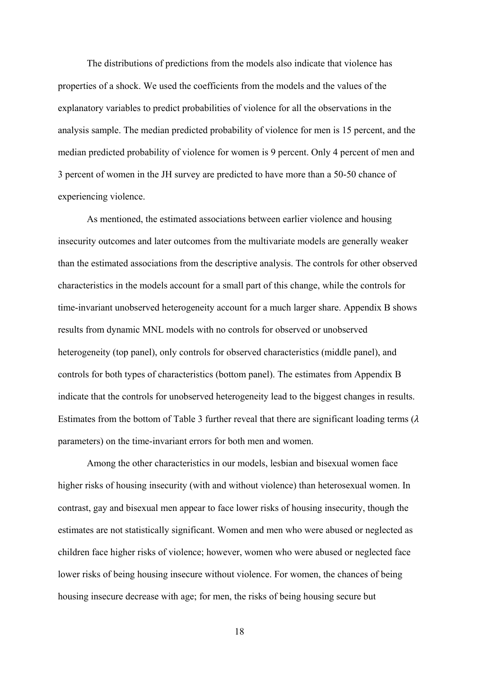The distributions of predictions from the models also indicate that violence has properties of a shock. We used the coefficients from the models and the values of the explanatory variables to predict probabilities of violence for all the observations in the analysis sample. The median predicted probability of violence for men is 15 percent, and the median predicted probability of violence for women is 9 percent. Only 4 percent of men and 3 percent of women in the JH survey are predicted to have more than a 50-50 chance of experiencing violence.

As mentioned, the estimated associations between earlier violence and housing insecurity outcomes and later outcomes from the multivariate models are generally weaker than the estimated associations from the descriptive analysis. The controls for other observed characteristics in the models account for a small part of this change, while the controls for time-invariant unobserved heterogeneity account for a much larger share. Appendix B shows results from dynamic MNL models with no controls for observed or unobserved heterogeneity (top panel), only controls for observed characteristics (middle panel), and controls for both types of characteristics (bottom panel). The estimates from Appendix B indicate that the controls for unobserved heterogeneity lead to the biggest changes in results. Estimates from the bottom of Table 3 further reveal that there are significant loading terms  $(\lambda)$ parameters) on the time-invariant errors for both men and women.

Among the other characteristics in our models, lesbian and bisexual women face higher risks of housing insecurity (with and without violence) than heterosexual women. In contrast, gay and bisexual men appear to face lower risks of housing insecurity, though the estimates are not statistically significant. Women and men who were abused or neglected as children face higher risks of violence; however, women who were abused or neglected face lower risks of being housing insecure without violence. For women, the chances of being housing insecure decrease with age; for men, the risks of being housing secure but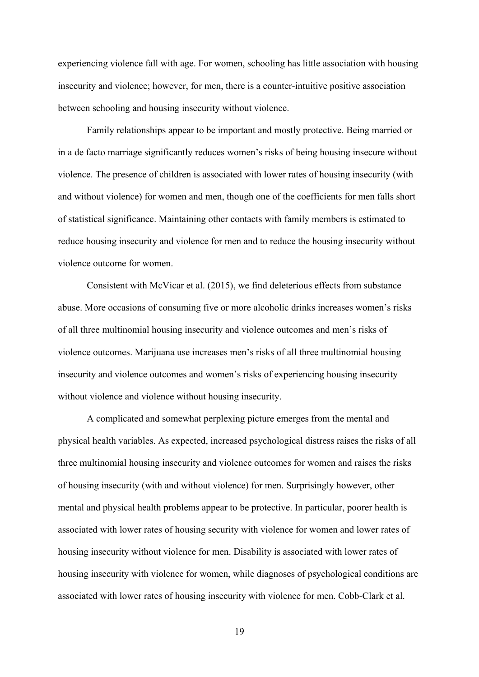experiencing violence fall with age. For women, schooling has little association with housing insecurity and violence; however, for men, there is a counter-intuitive positive association between schooling and housing insecurity without violence.

Family relationships appear to be important and mostly protective. Being married or in a de facto marriage significantly reduces women's risks of being housing insecure without violence. The presence of children is associated with lower rates of housing insecurity (with and without violence) for women and men, though one of the coefficients for men falls short of statistical significance. Maintaining other contacts with family members is estimated to reduce housing insecurity and violence for men and to reduce the housing insecurity without violence outcome for women.

Consistent with McVicar et al. (2015), we find deleterious effects from substance abuse. More occasions of consuming five or more alcoholic drinks increases women's risks of all three multinomial housing insecurity and violence outcomes and men's risks of violence outcomes. Marijuana use increases men's risks of all three multinomial housing insecurity and violence outcomes and women's risks of experiencing housing insecurity without violence and violence without housing insecurity.

A complicated and somewhat perplexing picture emerges from the mental and physical health variables. As expected, increased psychological distress raises the risks of all three multinomial housing insecurity and violence outcomes for women and raises the risks of housing insecurity (with and without violence) for men. Surprisingly however, other mental and physical health problems appear to be protective. In particular, poorer health is associated with lower rates of housing security with violence for women and lower rates of housing insecurity without violence for men. Disability is associated with lower rates of housing insecurity with violence for women, while diagnoses of psychological conditions are associated with lower rates of housing insecurity with violence for men. Cobb-Clark et al.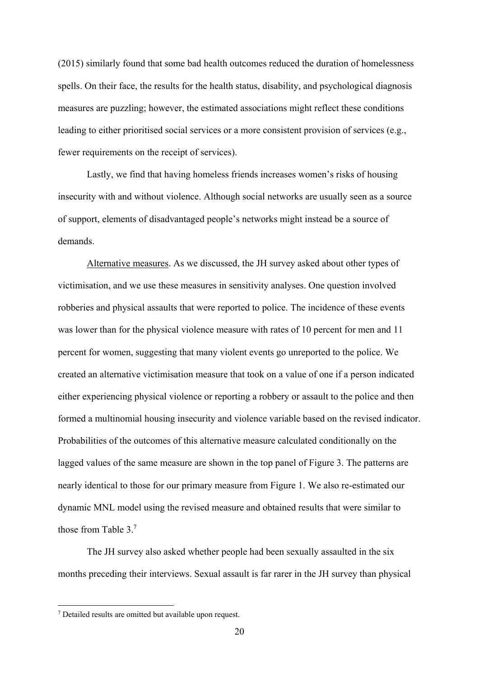(2015) similarly found that some bad health outcomes reduced the duration of homelessness spells. On their face, the results for the health status, disability, and psychological diagnosis measures are puzzling; however, the estimated associations might reflect these conditions leading to either prioritised social services or a more consistent provision of services (e.g., fewer requirements on the receipt of services).

Lastly, we find that having homeless friends increases women's risks of housing insecurity with and without violence. Although social networks are usually seen as a source of support, elements of disadvantaged people's networks might instead be a source of demands.

Alternative measures. As we discussed, the JH survey asked about other types of victimisation, and we use these measures in sensitivity analyses. One question involved robberies and physical assaults that were reported to police. The incidence of these events was lower than for the physical violence measure with rates of 10 percent for men and 11 percent for women, suggesting that many violent events go unreported to the police. We created an alternative victimisation measure that took on a value of one if a person indicated either experiencing physical violence or reporting a robbery or assault to the police and then formed a multinomial housing insecurity and violence variable based on the revised indicator. Probabilities of the outcomes of this alternative measure calculated conditionally on the lagged values of the same measure are shown in the top panel of Figure 3. The patterns are nearly identical to those for our primary measure from Figure 1. We also re-estimated our dynamic MNL model using the revised measure and obtained results that were similar to those from Table 3.7

The JH survey also asked whether people had been sexually assaulted in the six months preceding their interviews. Sexual assault is far rarer in the JH survey than physical

<u>.</u>

<sup>7</sup> Detailed results are omitted but available upon request.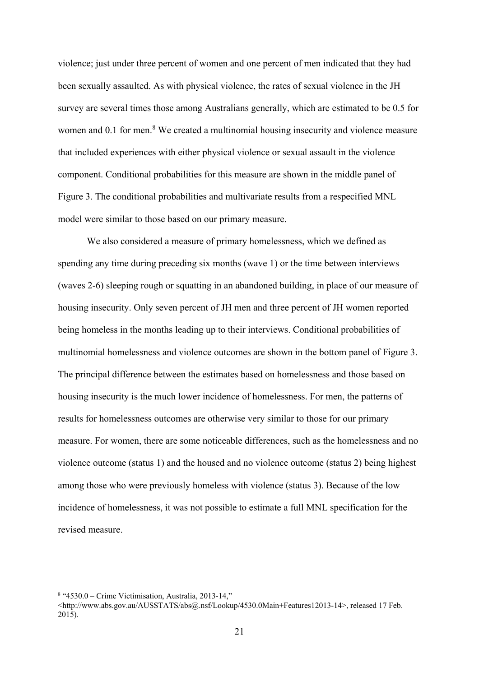violence; just under three percent of women and one percent of men indicated that they had been sexually assaulted. As with physical violence, the rates of sexual violence in the JH survey are several times those among Australians generally, which are estimated to be 0.5 for women and 0.1 for men.<sup>8</sup> We created a multinomial housing insecurity and violence measure that included experiences with either physical violence or sexual assault in the violence component. Conditional probabilities for this measure are shown in the middle panel of Figure 3. The conditional probabilities and multivariate results from a respecified MNL model were similar to those based on our primary measure.

We also considered a measure of primary homelessness, which we defined as spending any time during preceding six months (wave 1) or the time between interviews (waves 2-6) sleeping rough or squatting in an abandoned building, in place of our measure of housing insecurity. Only seven percent of JH men and three percent of JH women reported being homeless in the months leading up to their interviews. Conditional probabilities of multinomial homelessness and violence outcomes are shown in the bottom panel of Figure 3. The principal difference between the estimates based on homelessness and those based on housing insecurity is the much lower incidence of homelessness. For men, the patterns of results for homelessness outcomes are otherwise very similar to those for our primary measure. For women, there are some noticeable differences, such as the homelessness and no violence outcome (status 1) and the housed and no violence outcome (status 2) being highest among those who were previously homeless with violence (status 3). Because of the low incidence of homelessness, it was not possible to estimate a full MNL specification for the revised measure.

<sup>8</sup> "4530.0 – Crime Victimisation, Australia, 2013-14,"

<sup>&</sup>lt;http://www.abs.gov.au/AUSSTATS/abs@.nsf/Lookup/4530.0Main+Features12013-14>, released 17 Feb. 2015).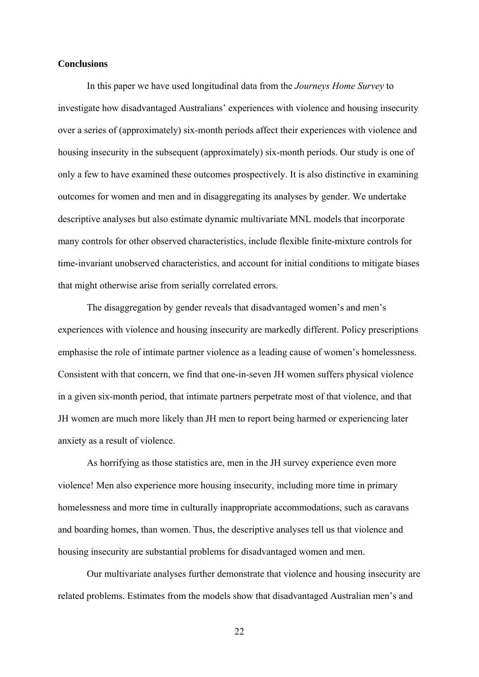#### **Conclusions**

In this paper we have used longitudinal data from the *Journeys Home Survey* to investigate how disadvantaged Australians' experiences with violence and housing insecurity over a series of (approximately) six-month periods affect their experiences with violence and housing insecurity in the subsequent (approximately) six-month periods. Our study is one of only a few to have examined these outcomes prospectively. It is also distinctive in examining outcomes for women and men and in disaggregating its analyses by gender. We undertake descriptive analyses but also estimate dynamic multivariate MNL models that incorporate many controls for other observed characteristics, include flexible finite-mixture controls for time-invariant unobserved characteristics, and account for initial conditions to mitigate biases that might otherwise arise from serially correlated errors.

The disaggregation by gender reveals that disadvantaged women's and men's experiences with violence and housing insecurity are markedly different. Policy prescriptions emphasise the role of intimate partner violence as a leading cause of women's homelessness. Consistent with that concern, we find that one-in-seven JH women suffers physical violence in a given six-month period, that intimate partners perpetrate most of that violence, and that JH women are much more likely than JH men to report being harmed or experiencing later anxiety as a result of violence.

As horrifying as those statistics are, men in the JH survey experience even more violence! Men also experience more housing insecurity, including more time in primary homelessness and more time in culturally inappropriate accommodations, such as caravans and boarding homes, than women. Thus, the descriptive analyses tell us that violence and housing insecurity are substantial problems for disadvantaged women and men.

Our multivariate analyses further demonstrate that violence and housing insecurity are related problems. Estimates from the models show that disadvantaged Australian men's and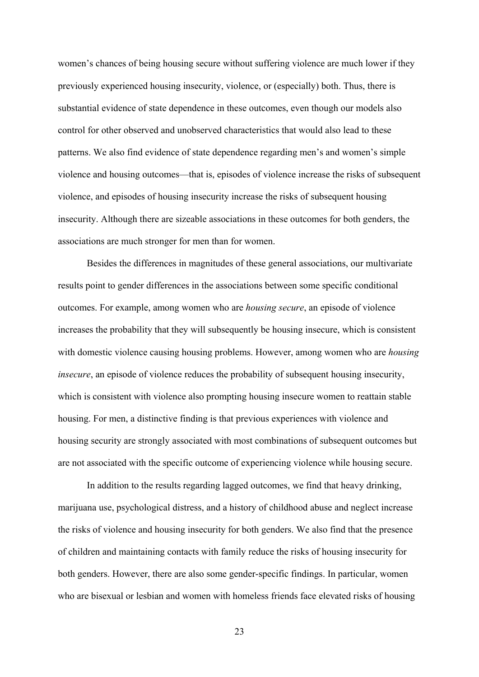women's chances of being housing secure without suffering violence are much lower if they previously experienced housing insecurity, violence, or (especially) both. Thus, there is substantial evidence of state dependence in these outcomes, even though our models also control for other observed and unobserved characteristics that would also lead to these patterns. We also find evidence of state dependence regarding men's and women's simple violence and housing outcomes—that is, episodes of violence increase the risks of subsequent violence, and episodes of housing insecurity increase the risks of subsequent housing insecurity. Although there are sizeable associations in these outcomes for both genders, the associations are much stronger for men than for women.

Besides the differences in magnitudes of these general associations, our multivariate results point to gender differences in the associations between some specific conditional outcomes. For example, among women who are *housing secure*, an episode of violence increases the probability that they will subsequently be housing insecure, which is consistent with domestic violence causing housing problems. However, among women who are *housing insecure*, an episode of violence reduces the probability of subsequent housing insecurity, which is consistent with violence also prompting housing insecure women to reattain stable housing. For men, a distinctive finding is that previous experiences with violence and housing security are strongly associated with most combinations of subsequent outcomes but are not associated with the specific outcome of experiencing violence while housing secure.

In addition to the results regarding lagged outcomes, we find that heavy drinking, marijuana use, psychological distress, and a history of childhood abuse and neglect increase the risks of violence and housing insecurity for both genders. We also find that the presence of children and maintaining contacts with family reduce the risks of housing insecurity for both genders. However, there are also some gender-specific findings. In particular, women who are bisexual or lesbian and women with homeless friends face elevated risks of housing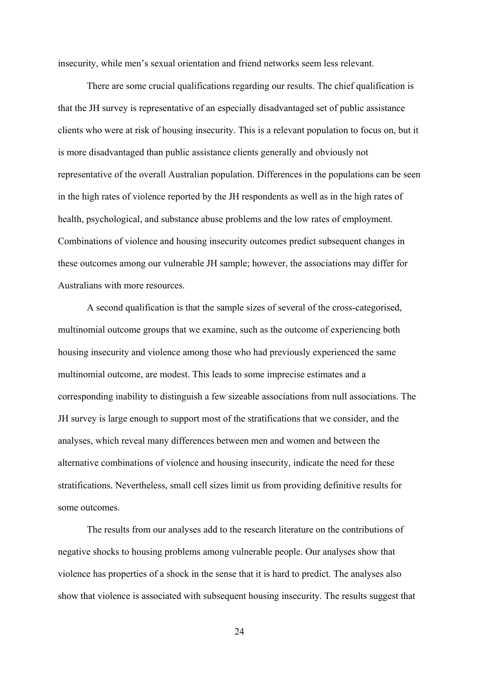insecurity, while men's sexual orientation and friend networks seem less relevant.

There are some crucial qualifications regarding our results. The chief qualification is that the JH survey is representative of an especially disadvantaged set of public assistance clients who were at risk of housing insecurity. This is a relevant population to focus on, but it is more disadvantaged than public assistance clients generally and obviously not representative of the overall Australian population. Differences in the populations can be seen in the high rates of violence reported by the JH respondents as well as in the high rates of health, psychological, and substance abuse problems and the low rates of employment. Combinations of violence and housing insecurity outcomes predict subsequent changes in these outcomes among our vulnerable JH sample; however, the associations may differ for Australians with more resources.

A second qualification is that the sample sizes of several of the cross-categorised, multinomial outcome groups that we examine, such as the outcome of experiencing both housing insecurity and violence among those who had previously experienced the same multinomial outcome, are modest. This leads to some imprecise estimates and a corresponding inability to distinguish a few sizeable associations from null associations. The JH survey is large enough to support most of the stratifications that we consider, and the analyses, which reveal many differences between men and women and between the alternative combinations of violence and housing insecurity, indicate the need for these stratifications. Nevertheless, small cell sizes limit us from providing definitive results for some outcomes.

The results from our analyses add to the research literature on the contributions of negative shocks to housing problems among vulnerable people. Our analyses show that violence has properties of a shock in the sense that it is hard to predict. The analyses also show that violence is associated with subsequent housing insecurity. The results suggest that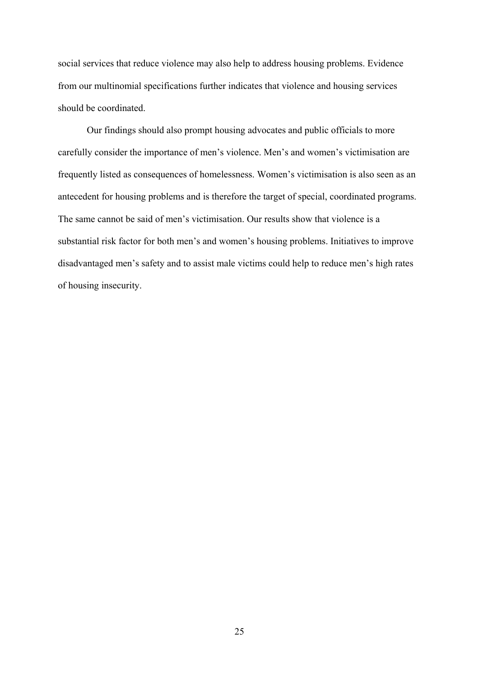social services that reduce violence may also help to address housing problems. Evidence from our multinomial specifications further indicates that violence and housing services should be coordinated.

Our findings should also prompt housing advocates and public officials to more carefully consider the importance of men's violence. Men's and women's victimisation are frequently listed as consequences of homelessness. Women's victimisation is also seen as an antecedent for housing problems and is therefore the target of special, coordinated programs. The same cannot be said of men's victimisation. Our results show that violence is a substantial risk factor for both men's and women's housing problems. Initiatives to improve disadvantaged men's safety and to assist male victims could help to reduce men's high rates of housing insecurity.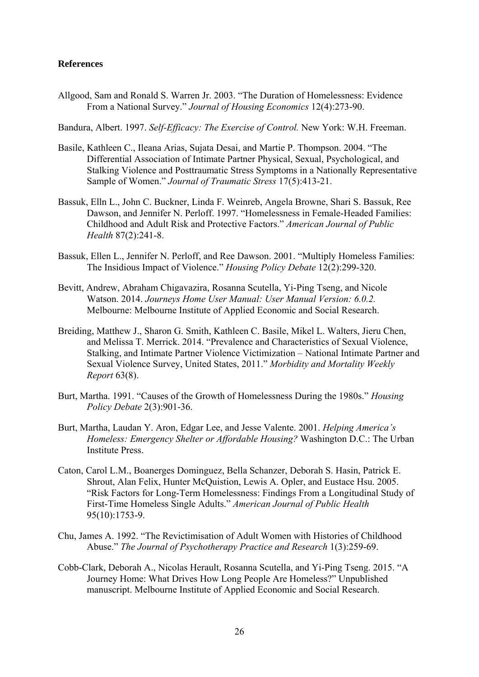#### **References**

Allgood, Sam and Ronald S. Warren Jr. 2003. "The Duration of Homelessness: Evidence From a National Survey." *Journal of Housing Economics* 12(4):273-90.

Bandura, Albert. 1997. *Self-Efficacy: The Exercise of Control.* New York: W.H. Freeman.

- Basile, Kathleen C., Ileana Arias, Sujata Desai, and Martie P. Thompson. 2004. "The Differential Association of Intimate Partner Physical, Sexual, Psychological, and Stalking Violence and Posttraumatic Stress Symptoms in a Nationally Representative Sample of Women." *Journal of Traumatic Stress* 17(5):413-21.
- Bassuk, Elln L., John C. Buckner, Linda F. Weinreb, Angela Browne, Shari S. Bassuk, Ree Dawson, and Jennifer N. Perloff. 1997. "Homelessness in Female-Headed Families: Childhood and Adult Risk and Protective Factors." *American Journal of Public Health* 87(2):241-8.
- Bassuk, Ellen L., Jennifer N. Perloff, and Ree Dawson. 2001. "Multiply Homeless Families: The Insidious Impact of Violence." *Housing Policy Debate* 12(2):299-320.
- Bevitt, Andrew, Abraham Chigavazira, Rosanna Scutella, Yi-Ping Tseng, and Nicole Watson. 2014. *Journeys Home User Manual: User Manual Version: 6.0.2.* Melbourne: Melbourne Institute of Applied Economic and Social Research.
- Breiding, Matthew J., Sharon G. Smith, Kathleen C. Basile, Mikel L. Walters, Jieru Chen, and Melissa T. Merrick. 2014. "Prevalence and Characteristics of Sexual Violence, Stalking, and Intimate Partner Violence Victimization – National Intimate Partner and Sexual Violence Survey, United States, 2011." *Morbidity and Mortality Weekly Report* 63(8).
- Burt, Martha. 1991. "Causes of the Growth of Homelessness During the 1980s." *Housing Policy Debate* 2(3):901-36.
- Burt, Martha, Laudan Y. Aron, Edgar Lee, and Jesse Valente. 2001. *Helping America's Homeless: Emergency Shelter or Affordable Housing?* Washington D.C.: The Urban Institute Press.
- Caton, Carol L.M., Boanerges Dominguez, Bella Schanzer, Deborah S. Hasin, Patrick E. Shrout, Alan Felix, Hunter McQuistion, Lewis A. Opler, and Eustace Hsu. 2005. "Risk Factors for Long-Term Homelessness: Findings From a Longitudinal Study of First-Time Homeless Single Adults." *American Journal of Public Health* 95(10):1753-9.
- Chu, James A. 1992. "The Revictimisation of Adult Women with Histories of Childhood Abuse." *The Journal of Psychotherapy Practice and Research* 1(3):259-69.
- Cobb-Clark, Deborah A., Nicolas Herault, Rosanna Scutella, and Yi-Ping Tseng. 2015. "A Journey Home: What Drives How Long People Are Homeless?" Unpublished manuscript. Melbourne Institute of Applied Economic and Social Research.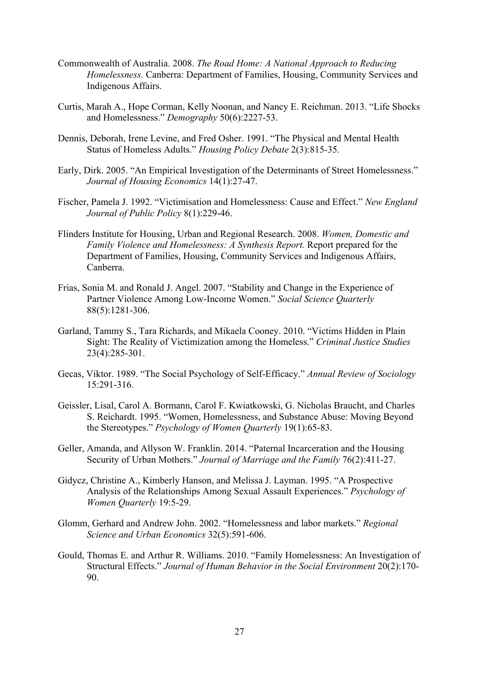- Commonwealth of Australia. 2008. *The Road Home: A National Approach to Reducing Homelessness.* Canberra: Department of Families, Housing, Community Services and Indigenous Affairs.
- Curtis, Marah A., Hope Corman, Kelly Noonan, and Nancy E. Reichman. 2013. "Life Shocks and Homelessness." *Demography* 50(6):2227-53.
- Dennis, Deborah, Irene Levine, and Fred Osher. 1991. "The Physical and Mental Health Status of Homeless Adults." *Housing Policy Debate* 2(3):815-35.
- Early, Dirk. 2005. "An Empirical Investigation of the Determinants of Street Homelessness." *Journal of Housing Economics* 14(1):27-47.
- Fischer, Pamela J. 1992. "Victimisation and Homelessness: Cause and Effect." *New England Journal of Public Policy* 8(1):229-46.
- Flinders Institute for Housing, Urban and Regional Research. 2008. *Women, Domestic and Family Violence and Homelessness: A Synthesis Report.* Report prepared for the Department of Families, Housing, Community Services and Indigenous Affairs, Canberra.
- Frias, Sonia M. and Ronald J. Angel. 2007. "Stability and Change in the Experience of Partner Violence Among Low-Income Women." *Social Science Quarterly*  88(5):1281-306.
- Garland, Tammy S., Tara Richards, and Mikaela Cooney. 2010. "Victims Hidden in Plain Sight: The Reality of Victimization among the Homeless." *Criminal Justice Studies* 23(4):285-301.
- Gecas, Viktor. 1989. "The Social Psychology of Self-Efficacy." *Annual Review of Sociology* 15:291-316.
- Geissler, Lisal, Carol A. Bormann, Carol F. Kwiatkowski, G. Nicholas Braucht, and Charles S. Reichardt. 1995. "Women, Homelessness, and Substance Abuse: Moving Beyond the Stereotypes." *Psychology of Women Quarterly* 19(1):65-83.
- Geller, Amanda, and Allyson W. Franklin. 2014. "Paternal Incarceration and the Housing Security of Urban Mothers." *Journal of Marriage and the Family* 76(2):411-27.
- Gidycz, Christine A., Kimberly Hanson, and Melissa J. Layman. 1995. "A Prospective Analysis of the Relationships Among Sexual Assault Experiences." *Psychology of Women Quarterly* 19:5-29.
- Glomm, Gerhard and Andrew John. 2002. "Homelessness and labor markets." *Regional Science and Urban Economics* 32(5):591-606.
- Gould, Thomas E. and Arthur R. Williams. 2010. "Family Homelessness: An Investigation of Structural Effects." *Journal of Human Behavior in the Social Environment* 20(2):170- 90.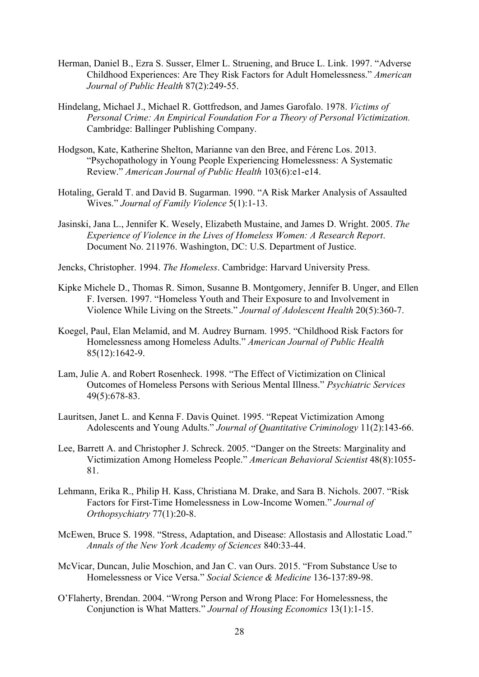- Herman, Daniel B., Ezra S. Susser, Elmer L. Struening, and Bruce L. Link. 1997. "Adverse Childhood Experiences: Are They Risk Factors for Adult Homelessness." *American Journal of Public Health* 87(2):249-55.
- Hindelang, Michael J., Michael R. Gottfredson, and James Garofalo. 1978. *Victims of Personal Crime: An Empirical Foundation For a Theory of Personal Victimization.* Cambridge: Ballinger Publishing Company.
- Hodgson, Kate, Katherine Shelton, Marianne van den Bree, and Férenc Los. 2013. "Psychopathology in Young People Experiencing Homelessness: A Systematic Review." *American Journal of Public Health* 103(6):e1-e14.
- Hotaling, Gerald T. and David B. Sugarman. 1990. "A Risk Marker Analysis of Assaulted Wives." *Journal of Family Violence* 5(1):1-13.
- Jasinski, Jana L., Jennifer K. Wesely, Elizabeth Mustaine, and James D. Wright. 2005. *The Experience of Violence in the Lives of Homeless Women: A Research Report*. Document No. 211976. Washington, DC: U.S. Department of Justice.
- Jencks, Christopher. 1994. *The Homeless*. Cambridge: Harvard University Press.
- Kipke Michele D., Thomas R. Simon, Susanne B. Montgomery, Jennifer B. Unger, and Ellen F. Iversen. 1997. "Homeless Youth and Their Exposure to and Involvement in Violence While Living on the Streets." *Journal of Adolescent Health* 20(5):360-7.
- Koegel, Paul, Elan Melamid, and M. Audrey Burnam. 1995. "Childhood Risk Factors for Homelessness among Homeless Adults." *American Journal of Public Health*  85(12):1642-9.
- Lam, Julie A. and Robert Rosenheck. 1998. "The Effect of Victimization on Clinical Outcomes of Homeless Persons with Serious Mental Illness." *Psychiatric Services* 49(5):678-83.
- Lauritsen, Janet L. and Kenna F. Davis Quinet. 1995. "Repeat Victimization Among Adolescents and Young Adults." *Journal of Quantitative Criminology* 11(2):143-66.
- Lee, Barrett A. and Christopher J. Schreck. 2005. "Danger on the Streets: Marginality and Victimization Among Homeless People." *American Behavioral Scientist* 48(8):1055- 81.
- Lehmann, Erika R., Philip H. Kass, Christiana M. Drake, and Sara B. Nichols. 2007. "Risk Factors for First-Time Homelessness in Low-Income Women." *Journal of Orthopsychiatry* 77(1):20-8.
- McEwen, Bruce S. 1998. "Stress, Adaptation, and Disease: Allostasis and Allostatic Load." *Annals of the New York Academy of Sciences* 840:33-44.
- McVicar, Duncan, Julie Moschion, and Jan C. van Ours. 2015. "From Substance Use to Homelessness or Vice Versa." *Social Science & Medicine* 136-137:89-98.
- O'Flaherty, Brendan. 2004. "Wrong Person and Wrong Place: For Homelessness, the Conjunction is What Matters." *Journal of Housing Economics* 13(1):1-15.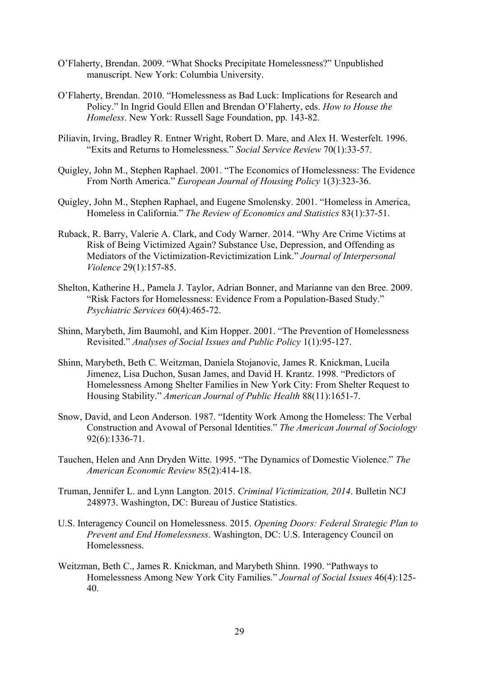- O'Flaherty, Brendan. 2009. "What Shocks Precipitate Homelessness?" Unpublished manuscript. New York: Columbia University.
- O'Flaherty, Brendan. 2010. "Homelessness as Bad Luck: Implications for Research and Policy." In Ingrid Gould Ellen and Brendan O'Flaherty, eds. *How to House the Homeless*. New York: Russell Sage Foundation, pp. 143-82.
- Piliavin, Irving, Bradley R. Entner Wright, Robert D. Mare, and Alex H. Westerfelt. 1996. "Exits and Returns to Homelessness." *Social Service Review* 70(1):33-57.
- Quigley, John M., Stephen Raphael. 2001. "The Economics of Homelessness: The Evidence From North America." *European Journal of Housing Policy* 1(3):323-36.
- Quigley, John M., Stephen Raphael, and Eugene Smolensky. 2001. "Homeless in America, Homeless in California." *The Review of Economics and Statistics* 83(1):37-51.
- Ruback, R. Barry, Valerie A. Clark, and Cody Warner. 2014. "Why Are Crime Victims at Risk of Being Victimized Again? Substance Use, Depression, and Offending as Mediators of the Victimization-Revictimization Link." *Journal of Interpersonal Violence* 29(1):157-85.
- Shelton, Katherine H., Pamela J. Taylor, Adrian Bonner, and Marianne van den Bree. 2009. "Risk Factors for Homelessness: Evidence From a Population-Based Study." *Psychiatric Services* 60(4):465-72.
- Shinn, Marybeth, Jim Baumohl, and Kim Hopper. 2001. "The Prevention of Homelessness Revisited." *Analyses of Social Issues and Public Policy* 1(1):95-127.
- Shinn, Marybeth, Beth C. Weitzman, Daniela Stojanovic, James R. Knickman, Lucila Jimenez, Lisa Duchon, Susan James, and David H. Krantz. 1998. "Predictors of Homelessness Among Shelter Families in New York City: From Shelter Request to Housing Stability." *American Journal of Public Health* 88(11):1651-7.
- Snow, David, and Leon Anderson. 1987. "Identity Work Among the Homeless: The Verbal Construction and Avowal of Personal Identities." *The American Journal of Sociology* 92(6):1336-71.
- Tauchen, Helen and Ann Dryden Witte. 1995. "The Dynamics of Domestic Violence." *The American Economic Review* 85(2):414-18.
- Truman, Jennifer L. and Lynn Langton. 2015. *Criminal Victimization, 2014*. Bulletin NCJ 248973. Washington, DC: Bureau of Justice Statistics.
- U.S. Interagency Council on Homelessness. 2015. *Opening Doors: Federal Strategic Plan to Prevent and End Homelessness*. Washington, DC: U.S. Interagency Council on Homelessness.
- Weitzman, Beth C., James R. Knickman, and Marybeth Shinn. 1990. "Pathways to Homelessness Among New York City Families." *Journal of Social Issues* 46(4):125- 40.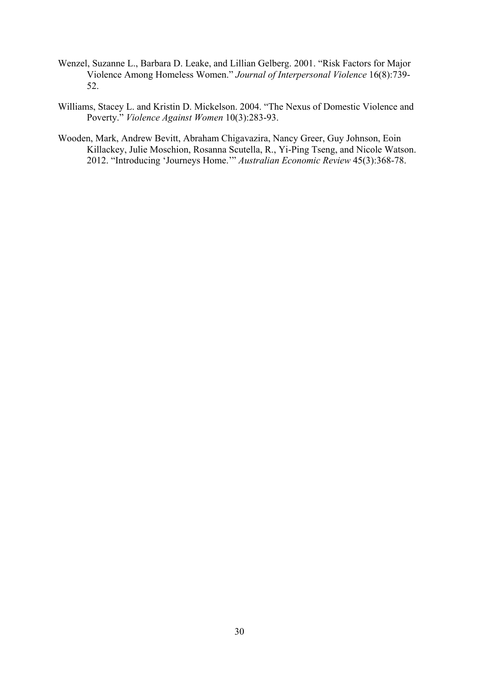- Wenzel, Suzanne L., Barbara D. Leake, and Lillian Gelberg. 2001. "Risk Factors for Major Violence Among Homeless Women." *Journal of Interpersonal Violence* 16(8):739- 52.
- Williams, Stacey L. and Kristin D. Mickelson. 2004. "The Nexus of Domestic Violence and Poverty." *Violence Against Women* 10(3):283-93.
- Wooden, Mark, Andrew Bevitt, Abraham Chigavazira, Nancy Greer, Guy Johnson, Eoin Killackey, Julie Moschion, Rosanna Scutella, R., Yi-Ping Tseng, and Nicole Watson. 2012. "Introducing 'Journeys Home.'" *Australian Economic Review* 45(3):368-78.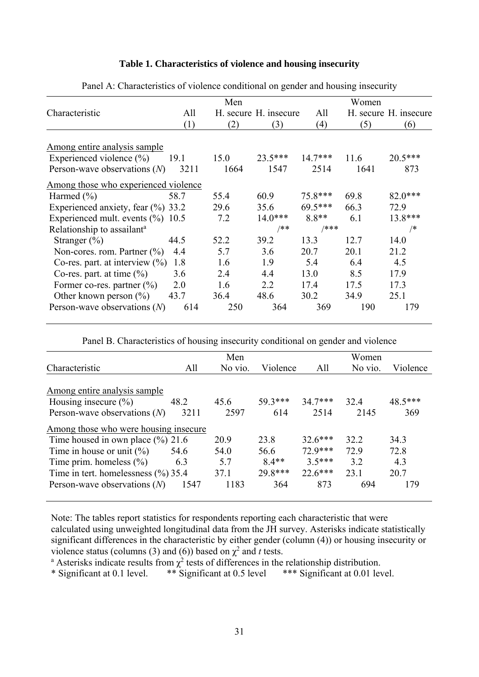#### **Table 1. Characteristics of violence and housing insecurity**

|                                        | Men  |      |                       |           | Women |                       |  |
|----------------------------------------|------|------|-----------------------|-----------|-------|-----------------------|--|
| Characteristic                         | All  |      | H. secure H. insecure | All       |       | H. secure H. insecure |  |
|                                        | (1)  | (2)  | (3)                   | (4)       | (5)   | (6)                   |  |
| Among entire analysis sample           |      |      |                       |           |       |                       |  |
| Experienced violence $(\% )$           | 19.1 | 15.0 | $23.5***$             | $14.7***$ | 11.6  | 20.5***               |  |
| Person-wave observations $(N)$         | 3211 | 1664 | 1547                  | 2514      | 1641  | 873                   |  |
| Among those who experienced violence   |      |      |                       |           |       |                       |  |
| Harmed $(\% )$                         | 58.7 | 55.4 | 60.9                  | $75.8***$ | 69.8  | $82.0***$             |  |
| Experienced anxiety, fear $(\% )$ 33.2 |      | 29.6 | 35.6                  | $69.5***$ | 66.3  | 72.9                  |  |
| Experienced mult. events $(\% )$ 10.5  |      | 7.2  | $14.0***$             | $8.8**$   | 6.1   | 13.8***               |  |
| Relationship to assailant <sup>a</sup> |      |      | /**                   | /***      |       | /*                    |  |
| Stranger $(\% )$                       | 44.5 | 52.2 | 39.2                  | 13.3      | 12.7  | 14.0                  |  |
| Non-cores. rom. Partner $(\% )$        | 4.4  | 5.7  | 3.6                   | 20.7      | 20.1  | 21.2                  |  |
| Co-res. part. at interview $(\%)$      | 1.8  | 1.6  | 1.9                   | 5.4       | 6.4   | 4.5                   |  |
| Co-res. part. at time $(\% )$          | 3.6  | 2.4  | 4.4                   | 13.0      | 8.5   | 17.9                  |  |
| Former co-res. partner $(\% )$         | 2.0  | 1.6  | 2.2                   | 17.4      | 17.5  | 17.3                  |  |
| Other known person $(\% )$             | 43.7 | 36.4 | 48.6                  | 30.2      | 34.9  | 25.1                  |  |
| Person-wave observations $(N)$         | 614  | 250  | 364                   | 369       | 190   | 179                   |  |

Panel A: Characteristics of violence conditional on gender and housing insecurity

Panel B. Characteristics of housing insecurity conditional on gender and violence

|                                         |      | Men     |          |           | Women   |          |
|-----------------------------------------|------|---------|----------|-----------|---------|----------|
| Characteristic                          | All  | No vio. | Violence | All       | No vio. | Violence |
|                                         |      |         |          |           |         |          |
| Among entire analysis sample            |      |         |          |           |         |          |
| Housing insecure $(\% )$                | 48.2 | 45.6    | 59.3***  | $34.7***$ | 32.4    | 48.5***  |
| Person-wave observations $(N)$          | 3211 | 2597    | 614      | 2514      | 2145    | 369      |
| Among those who were housing insecure   |      |         |          |           |         |          |
| Time housed in own place $(\%$ ) 21.6   |      | 20.9    | 23.8     | $32.6***$ | 32.2    | 34.3     |
| Time in house or unit $(\% )$           | 54.6 | 54.0    | 56.6     | 72 9***   | 72.9    | 72.8     |
| Time prim. homeless $(\% )$             | 6.3  | 57      | $8.4**$  | $3.5***$  | 3.2     | 4.3      |
| Time in tert. homelessness $(\%$ ) 35.4 |      | 37.1    | 29.8***  | $22.6***$ | 23.1    | 20.7     |
| Person-wave observations $(N)$          | 1547 | 1183    | 364      | 873       | 694     | 179      |

Note: The tables report statistics for respondents reporting each characteristic that were calculated using unweighted longitudinal data from the JH survey. Asterisks indicate statistically significant differences in the characteristic by either gender (column (4)) or housing insecurity or violence status (columns (3) and (6)) based on  $\chi^2$  and *t* tests.<br><sup>a</sup> Asterisks indicate results from  $\chi^2$  tests of differences in the

Asterisks indicate results from  $\chi^2$  tests of differences in the relationship distribution.

\* Significant at 0.1 level. \*\* Significant at 0.5 level \*\*\* Significant at 0.01 level.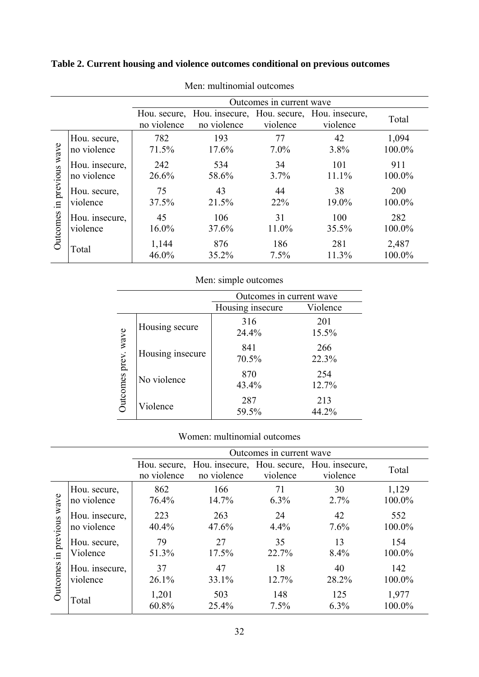### **Table 2. Current housing and violence outcomes conditional on previous outcomes**

|                                |                               | Outcomes in current wave |                                                                        |               |              |                 |  |
|--------------------------------|-------------------------------|--------------------------|------------------------------------------------------------------------|---------------|--------------|-----------------|--|
|                                |                               | no violence              | Hou. secure, Hou. insecure, Hou. secure, Hou. insecure,<br>no violence | violence      | violence     | Total           |  |
| wave                           | Hou. secure,<br>no violence   | 782<br>71.5%             | 193<br>17.6%                                                           | 77<br>$7.0\%$ | 42<br>3.8%   | 1,094<br>100.0% |  |
| in previous<br><b>Jutcomes</b> | Hou. insecure,<br>no violence | 242<br>26.6%             | 534<br>58.6%                                                           | 34<br>$3.7\%$ | 101<br>11.1% | 911<br>100.0%   |  |
|                                | Hou. secure,<br>violence      | 75<br>37.5%              | 43<br>21.5%                                                            | 44<br>22%     | 38<br>19.0%  | 200<br>100.0%   |  |
|                                | Hou. insecure,<br>violence    | 45<br>$16.0\%$           | 106<br>37.6%                                                           | 31<br>11.0%   | 100<br>35.5% | 282<br>100.0%   |  |
|                                | Total                         | 1,144<br>46.0%           | 876<br>35.2%                                                           | 186<br>7.5%   | 281<br>11.3% | 2,487<br>100.0% |  |

Men: multinomial outcomes

| Men: simple outcomes         |                  |                          |              |  |  |  |  |
|------------------------------|------------------|--------------------------|--------------|--|--|--|--|
|                              |                  | Outcomes in current wave |              |  |  |  |  |
| Violence<br>Housing insecure |                  |                          |              |  |  |  |  |
| Outcomes prev. wave          | Housing secure   | 316<br>24.4%             | 201<br>15.5% |  |  |  |  |
|                              | Housing insecure | 841<br>70.5%             | 266<br>22.3% |  |  |  |  |
|                              | No violence      | 870<br>43.4%             | 254<br>12.7% |  |  |  |  |
|                              | Violence         | 287<br>59.5%             | 213<br>44.2% |  |  |  |  |

#### Women: multinomial outcomes

|                                |                               | Outcomes in current wave |                                                                        |               |             |                 |  |  |
|--------------------------------|-------------------------------|--------------------------|------------------------------------------------------------------------|---------------|-------------|-----------------|--|--|
|                                |                               | no violence              | Hou. secure, Hou. insecure, Hou. secure, Hou. insecure,<br>no violence | violence      | violence    | Total           |  |  |
| wave                           | Hou. secure,<br>no violence   | 862<br>76.4%             | 166<br>14.7%                                                           | 71<br>$6.3\%$ | 30<br>2.7%  | 1,129<br>100.0% |  |  |
| in previous<br><b>Dutcomes</b> | Hou. insecure,<br>no violence | 223<br>40.4%             | 263<br>47.6%                                                           | 24<br>4.4%    | 42<br>7.6%  | 552<br>100.0%   |  |  |
|                                | Hou. secure,<br>Violence      | 79<br>51.3%              | 27<br>17.5%                                                            | 35<br>22.7%   | 13<br>8.4%  | 154<br>100.0%   |  |  |
|                                | Hou. insecure,<br>violence    | 37<br>26.1%              | 47<br>33.1%                                                            | 18<br>12.7%   | 40<br>28.2% | 142<br>100.0%   |  |  |
|                                | Total                         | 1,201<br>60.8%           | 503<br>25.4%                                                           | 148<br>7.5%   | 125<br>6.3% | 1,977<br>100.0% |  |  |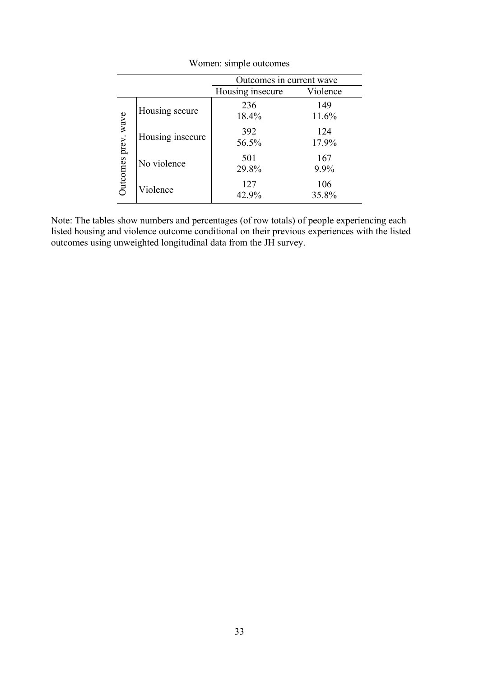|                     | Outcomes in current wave |                  |              |  |  |  |  |
|---------------------|--------------------------|------------------|--------------|--|--|--|--|
|                     |                          | Housing insecure | Violence     |  |  |  |  |
| Outcomes prev. wave | Housing secure           | 236<br>18.4%     | 149<br>11.6% |  |  |  |  |
|                     | Housing insecure         | 392<br>56.5%     | 124<br>17.9% |  |  |  |  |
|                     | No violence              | 501<br>29.8%     | 167<br>9.9%  |  |  |  |  |
|                     | Violence                 | 127<br>42.9%     | 106<br>35.8% |  |  |  |  |

Women: simple outcomes

Note: The tables show numbers and percentages (of row totals) of people experiencing each listed housing and violence outcome conditional on their previous experiences with the listed outcomes using unweighted longitudinal data from the JH survey.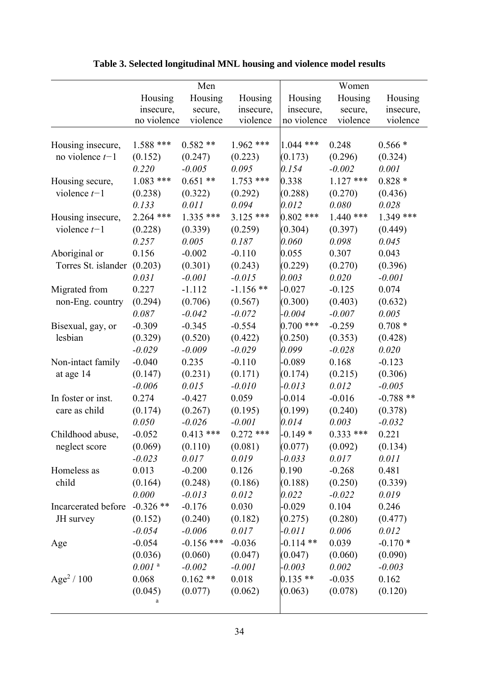|                             | Men                  |              |             | Women       |             |             |  |
|-----------------------------|----------------------|--------------|-------------|-------------|-------------|-------------|--|
|                             | Housing              | Housing      | Housing     | Housing     | Housing     | Housing     |  |
|                             | insecure,            | secure,      | insecure,   | insecure,   | secure,     | insecure,   |  |
|                             | no violence          | violence     | violence    | no violence | violence    | violence    |  |
|                             |                      |              |             |             |             |             |  |
| Housing insecure,           | $1.588$ ***          | $0.582**$    | $1.962$ *** | $1.044$ *** | 0.248       | $0.566*$    |  |
| no violence $t-1$           | (0.152)              | (0.247)      | (0.223)     | (0.173)     | (0.296)     | (0.324)     |  |
|                             | 0.220                | $-0.005$     | 0.095       | 0.154       | $-0.002$    | 0.001       |  |
| Housing secure,             | $1.083$ ***          | $0.651**$    | $1.753$ *** | 0.338       | $1.127$ *** | $0.828*$    |  |
| violence $t-1$              | (0.238)              | (0.322)      | (0.292)     | (0.288)     | (0.270)     | (0.436)     |  |
|                             | 0.133                | 0.011        | 0.094       | 0.012       | 0.080       | 0.028       |  |
| Housing insecure,           | 2.264 ***            | $1.335$ ***  | $3.125$ *** | $0.802$ *** | $1.440$ *** | $1.349$ *** |  |
| violence $t-1$              | (0.228)              | (0.339)      | (0.259)     | (0.304)     | (0.397)     | (0.449)     |  |
|                             | 0.257                | 0.005        | 0.187       | 0.060       | 0.098       | 0.045       |  |
| Aboriginal or               | 0.156                | $-0.002$     | $-0.110$    | 0.055       | 0.307       | 0.043       |  |
| Torres St. islander (0.203) |                      | (0.301)      | (0.243)     | (0.229)     | (0.270)     | (0.396)     |  |
|                             | 0.031                | $-0.001$     | $-0.015$    | 0.003       | 0.020       | $-0.001$    |  |
| Migrated from               | 0.227                | $-1.112$     | $-1.156$ ** | $-0.027$    | $-0.125$    | 0.074       |  |
| non-Eng. country            | (0.294)              | (0.706)      | (0.567)     | (0.300)     | (0.403)     | (0.632)     |  |
|                             | 0.087                | $-0.042$     | $-0.072$    | $-0.004$    | $-0.007$    | 0.005       |  |
| Bisexual, gay, or           | $-0.309$             | $-0.345$     | $-0.554$    | $0.700$ *** | $-0.259$    | $0.708*$    |  |
| lesbian                     | (0.329)              | (0.520)      | (0.422)     | (0.250)     | (0.353)     | (0.428)     |  |
|                             | $-0.029$             | $-0.009$     | $-0.029$    | 0.099       | $-0.028$    | 0.020       |  |
| Non-intact family           | $-0.040$             | 0.235        | $-0.110$    | $-0.089$    | 0.168       | $-0.123$    |  |
| at age 14                   | (0.147)              | (0.231)      | (0.171)     | (0.174)     | (0.215)     | (0.306)     |  |
|                             | $-0.006$             | 0.015        | $-0.010$    | $-0.013$    | 0.012       | $-0.005$    |  |
| In foster or inst.          | 0.274                | $-0.427$     | 0.059       | $-0.014$    | $-0.016$    | $-0.788**$  |  |
| care as child               | (0.174)              | (0.267)      | (0.195)     | (0.199)     | (0.240)     | (0.378)     |  |
|                             | 0.050                | $-0.026$     | $-0.001$    | 0.014       | 0.003       | $-0.032$    |  |
| Childhood abuse,            | $-0.052$             | $0.413$ ***  | $0.272$ *** | $-0.149*$   | $0.333$ *** | 0.221       |  |
| neglect score               | (0.069)              | (0.110)      | (0.081)     | (0.077)     | (0.092)     | (0.134)     |  |
|                             | $-0.023$             | 0.017        | 0.019       | $-0.033$    | 0.017       | 0.011       |  |
| Homeless as                 | 0.013                | $-0.200$     | 0.126       | 0.190       | $-0.268$    | 0.481       |  |
| child                       | (0.164)              | (0.248)      | (0.186)     | (0.188)     | (0.250)     | (0.339)     |  |
|                             | 0.000                | $-0.013$     | 0.012       | 0.022       | $-0.022$    | 0.019       |  |
| Incarcerated before         | $-0.326$ **          | $-0.176$     | 0.030       | $-0.029$    | 0.104       | 0.246       |  |
| JH survey                   | (0.152)              | (0.240)      | (0.182)     | (0.275)     | (0.280)     | (0.477)     |  |
|                             | $-0.054$             | $-0.006$     | 0.017       | $-0.011$    | 0.006       | 0.012       |  |
| Age                         | $-0.054$             | $-0.156$ *** | $-0.036$    | $-0.114$ ** | 0.039       | $-0.170*$   |  |
|                             | (0.036)              | (0.060)      | (0.047)     | (0.047)     | (0.060)     | (0.090)     |  |
|                             | $0.001$ <sup>a</sup> | $-0.002$     | $-0.001$    | $-0.003$    | 0.002       | $-0.003$    |  |
| Age <sup>2</sup> / 100      | 0.068                | $0.162**$    | 0.018       | $0.135**$   | $-0.035$    | 0.162       |  |
|                             | (0.045)              | (0.077)      | (0.062)     | (0.063)     | (0.078)     | (0.120)     |  |
|                             | a                    |              |             |             |             |             |  |

# **Table 3. Selected longitudinal MNL housing and violence model results**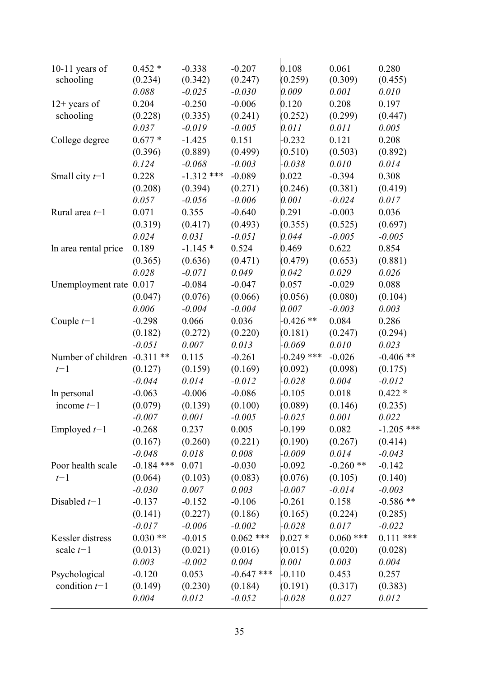| 10-11 years of<br>schooling  | $0.452*$<br>(0.234) | $-0.338$<br>(0.342) | $-0.207$<br>(0.247) | 0.108<br>(0.259) | 0.061<br>(0.309) | 0.280<br>(0.455) |
|------------------------------|---------------------|---------------------|---------------------|------------------|------------------|------------------|
|                              | 0.088               | $-0.025$            | $-0.030$            | 0.009            | 0.001            | 0.010            |
| $12+$ years of               | 0.204               | $-0.250$            | $-0.006$            | 0.120            | 0.208            | 0.197            |
| schooling                    | (0.228)             | (0.335)             | (0.241)             | (0.252)          | (0.299)          | (0.447)          |
|                              | 0.037               | $-0.019$            | $-0.005$            | 0.011            | 0.011            | 0.005            |
| College degree               | $0.677*$            | $-1.425$            | 0.151               | $-0.232$         | 0.121            | 0.208            |
|                              | (0.396)             | (0.889)             | (0.499)             | (0.510)          | (0.503)          | (0.892)          |
|                              | 0.124               | $-0.068$            | $-0.003$            | $-0.038$         | 0.010            | 0.014            |
| Small city $t-1$             | 0.228               | $-1.312$ ***        | $-0.089$            | 0.022            | $-0.394$         | 0.308            |
|                              | (0.208)             | (0.394)             | (0.271)             | (0.246)          | (0.381)          | (0.419)          |
|                              | 0.057               | $-0.056$            | $-0.006$            | 0.001            | $-0.024$         | 0.017            |
| Rural area $t-1$             | 0.071               | 0.355               | $-0.640$            | 0.291            | $-0.003$         | 0.036            |
|                              | (0.319)             | (0.417)             | (0.493)             | (0.355)          | (0.525)          | (0.697)          |
|                              | 0.024               | 0.031               | $-0.051$            | 0.044            | $-0.005$         | $-0.005$         |
| In area rental price         | 0.189               | $-1.145*$           | 0.524               | 0.469            | 0.622            | 0.854            |
|                              | (0.365)             | (0.636)             | (0.471)             | (0.479)          | (0.653)          | (0.881)          |
|                              | 0.028               | $-0.071$            | 0.049               | 0.042            | 0.029            | 0.026            |
| Unemployment rate 0.017      |                     | $-0.084$            | $-0.047$            | 0.057            | $-0.029$         | 0.088            |
|                              | (0.047)             | (0.076)             | (0.066)             | (0.056)          | (0.080)          | (0.104)          |
|                              | 0.006               | $-0.004$            | $-0.004$            | 0.007            | $-0.003$         | 0.003            |
| Couple $t-1$                 | $-0.298$            | 0.066               | 0.036               | $-0.426**$       | 0.084            | 0.286            |
|                              | (0.182)             | (0.272)             | (0.220)             | (0.181)          | (0.247)          | (0.294)          |
|                              | $-0.051$            | 0.007               | 0.013               | $-0.069$         | 0.010            | 0.023            |
| Number of children -0.311 ** |                     | 0.115               | $-0.261$            | $-0.249$ ***     | $-0.026$         | $-0.406$ **      |
| $t-1$                        | (0.127)             | (0.159)             | (0.169)             | (0.092)          | (0.098)          | (0.175)          |
|                              | $-0.044$            | 0.014               | $-0.012$            | $-0.028$         | 0.004            | $-0.012$         |
| In personal                  | $-0.063$            | $-0.006$            | $-0.086$            | $-0.105$         | 0.018            | $0.422*$         |
| income $t-1$                 | (0.079)             | (0.139)             | (0.100)             | (0.089)          | (0.146)          | (0.235)          |
|                              | $-0.007$            | 0.001               | $-0.005$            | $-0.025$         | 0.001            | 0.022            |
| Employed $t-1$               | $-0.268$            | 0.237               | 0.005               | $-0.199$         | 0.082            | $-1.205$ ***     |
|                              | (0.167)             | (0.260)             | (0.221)             | (0.190)          | (0.267)          | (0.414)          |
|                              | $-0.048$            | 0.018               | 0.008               | $-0.009$         | 0.014            | $-0.043$         |
| Poor health scale            | $-0.184$ ***        | 0.071               | $-0.030$            | $-0.092$         | $-0.260**$       | $-0.142$         |
| $t-1$                        | (0.064)             | (0.103)             | (0.083)             | (0.076)          | (0.105)          | (0.140)          |
|                              | $-0.030$            | 0.007               | 0.003               | $-0.007$         | $-0.014$         | $-0.003$         |
| Disabled $t-1$               | $-0.137$            | $-0.152$            | $-0.106$            | $-0.261$         | 0.158            | $-0.586$ **      |
|                              | (0.141)             | (0.227)             | (0.186)             | (0.165)          | (0.224)          | (0.285)          |
|                              | $-0.017$            | $-0.006$            | $-0.002$            | $-0.028$         | 0.017            | $-0.022$         |
| Kessler distress             | $0.030**$           | $-0.015$            | $0.062$ ***         | $0.027*$         | $0.060$ ***      | $0.111$ ***      |
| scale $t-1$                  | (0.013)             | (0.021)             | (0.016)             | (0.015)          | (0.020)          | (0.028)          |
|                              | 0.003               | $-0.002$            | 0.004               | 0.001            | 0.003            | 0.004            |
| Psychological                | $-0.120$            | 0.053               | $-0.647$ ***        | $-0.110$         | 0.453            | 0.257            |
| condition $t-1$              | (0.149)             | (0.230)             | (0.184)             | (0.191)          | (0.317)          | (0.383)          |
|                              | 0.004               | 0.012               | $-0.052$            | $-0.028$         | 0.027            | 0.012            |
|                              |                     |                     |                     |                  |                  |                  |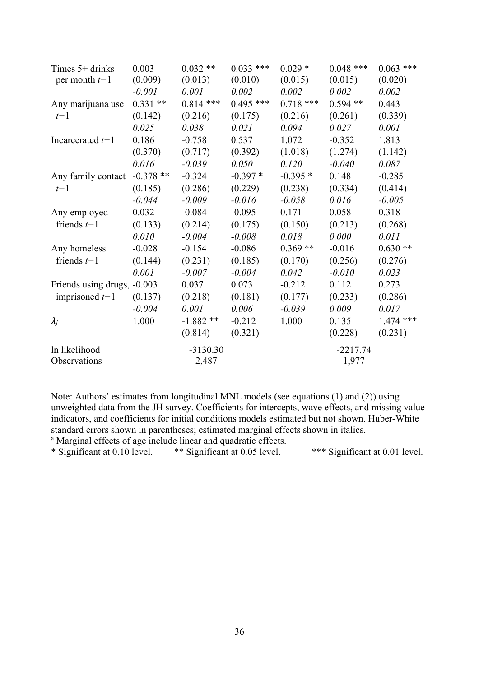| Times $5+$ drinks           | 0.003      | $0.032**$   | $0.033$ *** | $0.029*$    | $0.048$ *** | $0.063$ *** |
|-----------------------------|------------|-------------|-------------|-------------|-------------|-------------|
| per month $t-1$             | (0.009)    | (0.013)     | (0.010)     | (0.015)     | (0.015)     | (0.020)     |
|                             | $-0.001$   | 0.001       | 0.002       | 0.002       | 0.002       | 0.002       |
| Any marijuana use           | $0.331**$  | $0.814$ *** | $0.495$ *** | $0.718$ *** | $0.594**$   | 0.443       |
| $t-1$                       | (0.142)    | (0.216)     | (0.175)     | (0.216)     | (0.261)     | (0.339)     |
|                             | 0.025      | 0.038       | 0.021       | 0.094       | 0.027       | 0.001       |
| Incarcerated $t-1$          | 0.186      | $-0.758$    | 0.537       | 1.072       | $-0.352$    | 1.813       |
|                             | (0.370)    | (0.717)     | (0.392)     | (1.018)     | (1.274)     | (1.142)     |
|                             | 0.016      | $-0.039$    | 0.050       | 0.120       | $-0.040$    | 0.087       |
| Any family contact          | $-0.378**$ | $-0.324$    | $-0.397*$   | $-0.395*$   | 0.148       | $-0.285$    |
| $t-1$                       | (0.185)    | (0.286)     | (0.229)     | (0.238)     | (0.334)     | (0.414)     |
|                             | $-0.044$   | $-0.009$    | $-0.016$    | $-0.058$    | 0.016       | $-0.005$    |
| Any employed                | 0.032      | $-0.084$    | $-0.095$    | 0.171       | 0.058       | 0.318       |
| friends $t-1$               | (0.133)    | (0.214)     | (0.175)     | (0.150)     | (0.213)     | (0.268)     |
|                             | 0.010      | $-0.004$    | $-0.008$    | 0.018       | 0.000       | 0.011       |
| Any homeless                | $-0.028$   | $-0.154$    | $-0.086$    | $0.369**$   | $-0.016$    | $0.630**$   |
| friends $t-1$               | (0.144)    | (0.231)     | (0.185)     | (0.170)     | (0.256)     | (0.276)     |
|                             | 0.001      | $-0.007$    | $-0.004$    | 0.042       | $-0.010$    | 0.023       |
| Friends using drugs, -0.003 |            | 0.037       | 0.073       | $-0.212$    | 0.112       | 0.273       |
| imprisoned $t-1$            | (0.137)    | (0.218)     | (0.181)     | (0.177)     | (0.233)     | (0.286)     |
|                             | $-0.004$   | 0.001       | 0.006       | $-0.039$    | 0.009       | 0.017       |
| $\lambda_j$                 | 1.000      | $-1.882**$  | $-0.212$    | 1.000       | 0.135       | $1.474$ *** |
|                             |            | (0.814)     | (0.321)     |             | (0.228)     | (0.231)     |
| In likelihood               |            | $-3130.30$  |             |             | $-2217.74$  |             |
| Observations                |            | 2,487       |             |             | 1,977       |             |
|                             |            |             |             |             |             |             |

Note: Authors' estimates from longitudinal MNL models (see equations (1) and (2)) using unweighted data from the JH survey. Coefficients for intercepts, wave effects, and missing value indicators, and coefficients for initial conditions models estimated but not shown. Huber-White standard errors shown in parentheses; estimated marginal effects shown in italics.

<sup>a</sup> Marginal effects of age include linear and quadratic effects.<br>\* Significant at 0.10 level. \*\* Significant at 0.05 level.

\*\*\* Significant at 0.01 level.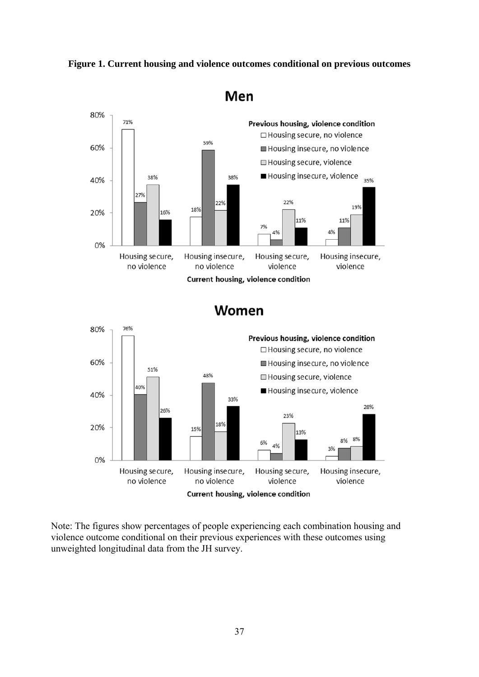**Figure 1. Current housing and violence outcomes conditional on previous outcomes** 



Women



Note: The figures show percentages of people experiencing each combination housing and violence outcome conditional on their previous experiences with these outcomes using unweighted longitudinal data from the JH survey.

Men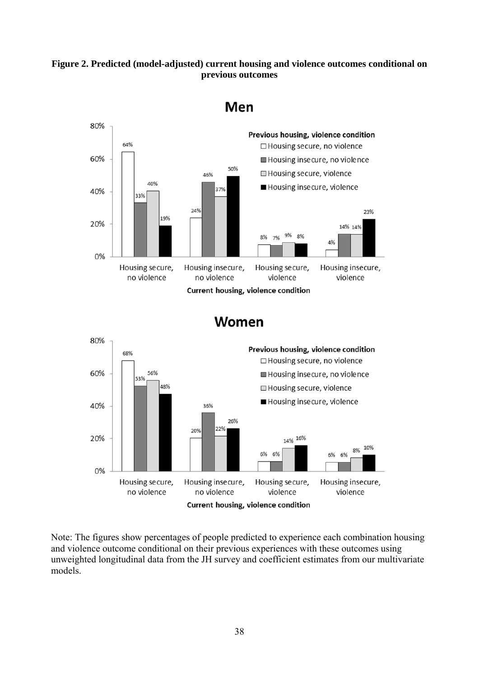#### **Figure 2. Predicted (model-adjusted) current housing and violence outcomes conditional on previous outcomes**



Men

Women



Note: The figures show percentages of people predicted to experience each combination housing and violence outcome conditional on their previous experiences with these outcomes using unweighted longitudinal data from the JH survey and coefficient estimates from our multivariate models.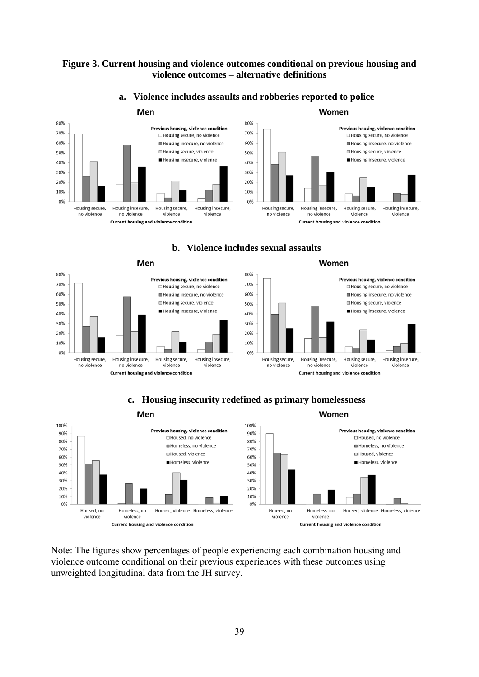#### **Figure 3. Current housing and violence outcomes conditional on previous housing and violence outcomes – alternative definitions**



#### **a. Violence includes assaults and robberies reported to police**

**b. Violence includes sexual assaults** 





#### **c. Housing insecurity redefined as primary homelessness**



Note: The figures show percentages of people experiencing each combination housing and violence outcome conditional on their previous experiences with these outcomes using unweighted longitudinal data from the JH survey.

#### 30%

Women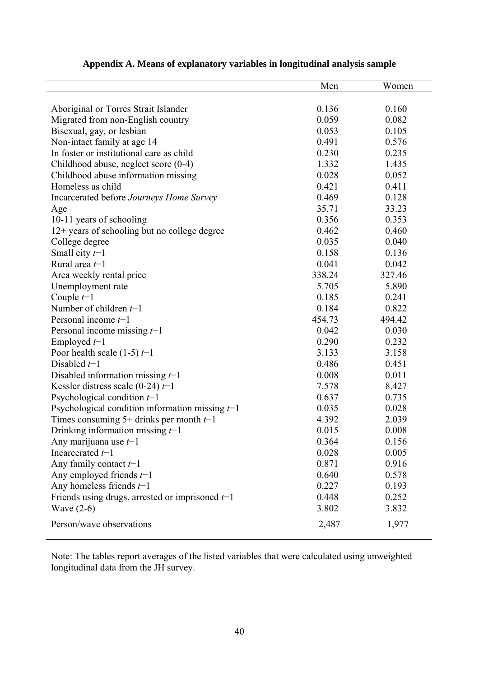|                                                   | Men    | Women  |
|---------------------------------------------------|--------|--------|
|                                                   |        |        |
| Aboriginal or Torres Strait Islander              | 0.136  | 0.160  |
| Migrated from non-English country                 | 0.059  | 0.082  |
| Bisexual, gay, or lesbian                         | 0.053  | 0.105  |
| Non-intact family at age 14                       | 0.491  | 0.576  |
| In foster or institutional care as child          | 0.230  | 0.235  |
| Childhood abuse, neglect score (0-4)              | 1.332  | 1.435  |
| Childhood abuse information missing               | 0.028  | 0.052  |
| Homeless as child                                 | 0.421  | 0.411  |
| Incarcerated before Journeys Home Survey          | 0.469  | 0.128  |
| Age                                               | 35.71  | 33.23  |
| 10-11 years of schooling                          | 0.356  | 0.353  |
| 12+ years of schooling but no college degree      | 0.462  | 0.460  |
| College degree                                    | 0.035  | 0.040  |
| Small city $t-1$                                  | 0.158  | 0.136  |
| Rural area $t-1$                                  | 0.041  | 0.042  |
| Area weekly rental price                          | 338.24 | 327.46 |
| Unemployment rate                                 | 5.705  | 5.890  |
| Couple $t-1$                                      | 0.185  | 0.241  |
| Number of children $t-1$                          | 0.184  | 0.822  |
| Personal income $t-1$                             | 454.73 | 494.42 |
| Personal income missing $t-1$                     | 0.042  | 0.030  |
| Employed $t-1$                                    | 0.290  | 0.232  |
| Poor health scale $(1-5) t-1$                     | 3.133  | 3.158  |
| Disabled $t-1$                                    | 0.486  | 0.451  |
| Disabled information missing $t-1$                | 0.008  | 0.011  |
| Kessler distress scale (0-24) $t-1$               | 7.578  | 8.427  |
| Psychological condition $t-1$                     | 0.637  | 0.735  |
| Psychological condition information missing $t-1$ | 0.035  | 0.028  |
| Times consuming 5+ drinks per month $t-1$         | 4.392  | 2.039  |
| Drinking information missing $t-1$                | 0.015  | 0.008  |
| Any marijuana use $t-1$                           | 0.364  | 0.156  |
| Incarcerated $t-1$                                | 0.028  | 0.005  |
| Any family contact $t-1$                          | 0.871  | 0.916  |
| Any employed friends $t-1$                        | 0.640  | 0.578  |
| Any homeless friends $t-1$                        | 0.227  | 0.193  |
| Friends using drugs, arrested or imprisoned $t-1$ | 0.448  | 0.252  |
| Wave $(2-6)$                                      | 3.802  | 3.832  |
| Person/wave observations                          | 2,487  | 1,977  |

### **Appendix A. Means of explanatory variables in longitudinal analysis sample**

Note: The tables report averages of the listed variables that were calculated using unweighted longitudinal data from the JH survey.